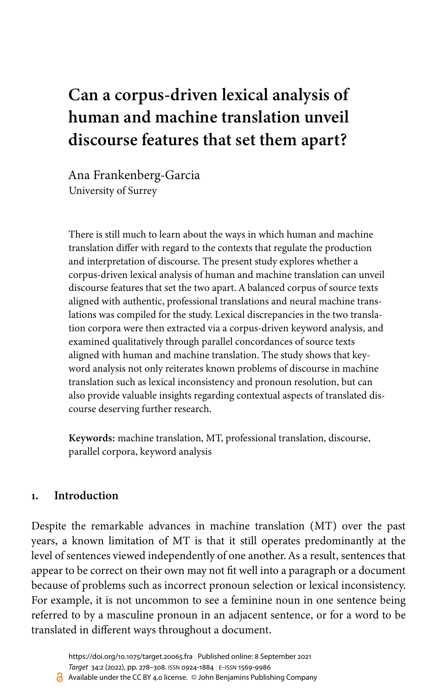# **Can a corpus-driven lexical analysis of human and machine translation unveil discourse features that set them apart?**

Ana Frankenberg-Garcia University of Surrey

There is still much to learn about the ways in which human and machine translation differ with regard to the contexts that regulate the production and interpretation of discourse. The present study explores whether a corpus-driven lexical analysis of human and machine translation can unveil discourse features that set the two apart. A balanced corpus of source texts aligned with authentic, professional translations and neural machine translations was compiled for the study. Lexical discrepancies in the two translation corpora were then extracted via a corpus-driven keyword analysis, and examined qualitatively through parallel concordances of source texts aligned with human and machine translation. The study shows that keyword analysis not only reiterates known problems of discourse in machine translation such as lexical inconsistency and pronoun resolution, but can also provide valuable insights regarding contextual aspects of translated discourse deserving further research.

**Keywords:** machine translation, MT, professional translation, discourse, parallel corpora, keyword analysis

# <span id="page-0-0"></span>**1. Introduction**

Despite the remarkable advances in machine translation (MT) over the past years, a known limitation of MT is that it still operates predominantly at the level of sentences viewed independently of one another. As a result, sentences that appear to be correct on their own may not fit well into a paragraph or a document because of problems such as incorrect pronoun selection or lexical inconsistency. For example, it is not uncommon to see a feminine noun in one sentence being referred to by a masculine pronoun in an adjacent sentence, or for a word to be translated in different ways throughout a document.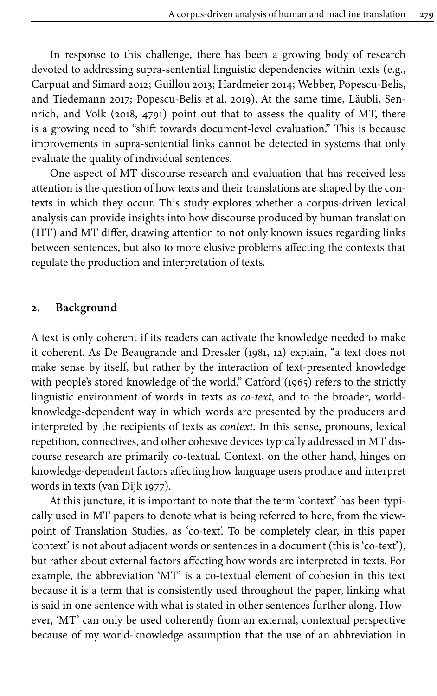In response to this challenge, there has been a growing body of research devoted to addressing supra-sentential linguistic dependencies within texts (e.g., [Carpuat and Simard 2012;](#page-26-0) [Guillou 2013;](#page-27-0) [Hardmeier 2014](#page-27-1); Webber, [Popescu-Belis,](#page-29-0) [and Tiedemann 2017;](#page-29-0) [Popescu-Belis](#page-29-1) et al. 2019). At the same time, Läubli, Sennrich, and Volk [\(2018,](#page-28-0) 4791) point out that to assess the quality of MT, there is a growing need to "shift towards document-level evaluation." This is because improvements in supra-sentential links cannot be detected in systems that only evaluate the quality of individual sentences.

One aspect of MT discourse research and evaluation that has received less attention is the question of how texts and their translations are shaped by the contexts in which they occur. This study explores whether a corpus-driven lexical analysis can provide insights into how discourse produced by human translation (HT) and MT differ, drawing attention to not only known issues regarding links between sentences, but also to more elusive problems affecting the contexts that regulate the production and interpretation of texts.

## **2. Background**

A text is only coherent if its readers can activate the knowledge needed to make it coherent. As De Beaugrande and Dressler [\(1981](#page-26-1), 12) explain, "a text does not make sense by itself, but rather by the interaction of text-presented knowledge with people's stored knowledge of the world." [Catford \(1965\)](#page-26-2) refers to the strictly linguistic environment of words in texts as *co-text*, and to the broader, worldknowledge-dependent way in which words are presented by the producers and interpreted by the recipients of texts as *context*. In this sense, pronouns, lexical repetition, connectives, and other cohesive devices typically addressed in MT discourse research are primarily co-textual. Context, on the other hand, hinges on knowledge-dependent factors affecting how language users produce and interpret words in texts ([van Dijk 1977](#page-29-2)).

At this juncture, it is important to note that the term 'context' has been typically used in MT papers to denote what is being referred to here, from the viewpoint of Translation Studies, as 'co-text'. To be completely clear, in this paper 'context' is not about adjacent words or sentences in a document (this is 'co-text'), but rather about external factors affecting how words are interpreted in texts. For example, the abbreviation 'MT' is a co-textual element of cohesion in this text because it is a term that is consistently used throughout the paper, linking what is said in one sentence with what is stated in other sentences further along. However, 'MT' can only be used coherently from an external, contextual perspective because of my world-knowledge assumption that the use of an abbreviation in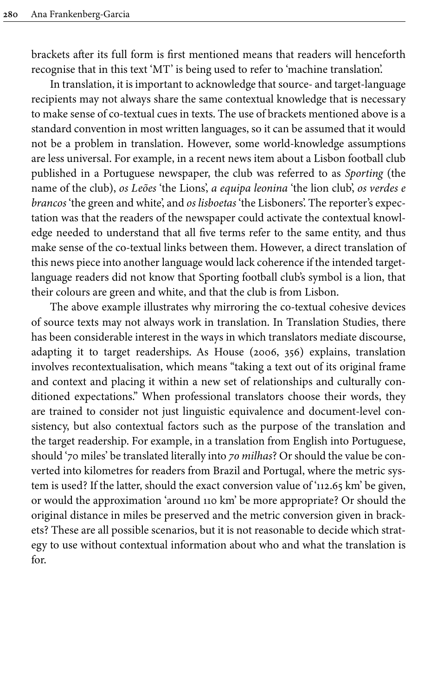brackets after its full form is first mentioned means that readers will henceforth recognise that in this text 'MT' is being used to refer to 'machine translation'.

In translation, it is important to acknowledge that source- and target-language recipients may not always share the same contextual knowledge that is necessary to make sense of co-textual cues in texts. The use of brackets mentioned above is a standard convention in most written languages, so it can be assumed that it would not be a problem in translation. However, some world-knowledge assumptions are less universal. For example, in a recent news item about a Lisbon football club published in a Portuguese newspaper, the club was referred to as *Sporting* (the name of the club), *os Leões* 'the Lions', *a equipa leonina* 'the lion club', *os verdes e brancos* 'the green and white', and *os lisboetas* 'the Lisboners'. The reporter's expectation was that the readers of the newspaper could activate the contextual knowledge needed to understand that all five terms refer to the same entity, and thus make sense of the co-textual links between them. However, a direct translation of this news piece into another language would lack coherence if the intended targetlanguage readers did not know that Sporting football club's symbol is a lion, that their colours are green and white, and that the club is from Lisbon.

The above example illustrates why mirroring the co-textual cohesive devices of source texts may not always work in translation. In Translation Studies, there has been considerable interest in the ways in which translators mediate discourse, adapting it to target readerships. As House [\(2006](#page-27-2), 356) explains, translation involves recontextualisation, which means "taking a text out of its original frame and context and placing it within a new set of relationships and culturally conditioned expectations." When professional translators choose their words, they are trained to consider not just linguistic equivalence and document-level consistency, but also contextual factors such as the purpose of the translation and the target readership. For example, in a translation from English into Portuguese, should '70 miles' be translated literally into *70 milhas*? Or should the value be converted into kilometres for readers from Brazil and Portugal, where the metric system is used? If the latter, should the exact conversion value of '112.65 km' be given, or would the approximation 'around 110 km' be more appropriate? Or should the original distance in miles be preserved and the metric conversion given in brackets? These are all possible scenarios, but it is not reasonable to decide which strategy to use without contextual information about who and what the translation is for.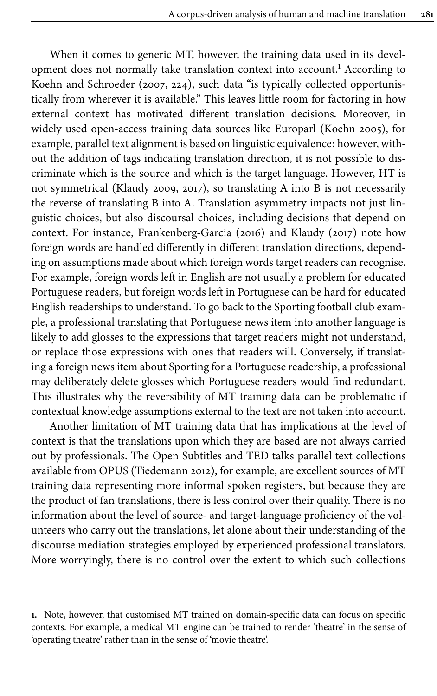When it comes to generic MT, however, the training data used in its development does not normally take translation context into account. <sup>1</sup> According to Koehn and Schroeder ([2007,](#page-28-1) 224), such data "is typically collected opportunistically from wherever it is available." This leaves little room for factoring in how external context has motivated different translation decisions. Moreover, in widely used open-access training data sources like Europarl [\(Koehn 2005\)](#page-28-2), for example, parallel text alignment is based on linguistic equivalence; however, without the addition of tags indicating translation direction, it is not possible to discriminate which is the source and which is the target language. However, HT is not symmetrical [\(Klaudy 2009,](#page-28-3) [2017\)](#page-28-4), so translating A into B is not necessarily the reverse of translating B into A. Translation asymmetry impacts not just linguistic choices, but also discoursal choices, including decisions that depend on context. For instance, [Frankenberg-Garcia](#page-27-3) (2016) and [Klaudy \(2017\)](#page-28-4) note how foreign words are handled differently in different translation directions, depending on assumptions made about which foreign words target readers can recognise. For example, foreign words left in English are not usually a problem for educated Portuguese readers, but foreign words left in Portuguese can be hard for educated English readerships to understand. To go back to the Sporting football club example, a professional translating that Portuguese news item into another language is likely to add glosses to the expressions that target readers might not understand, or replace those expressions with ones that readers will. Conversely, if translating a foreign news item about Sporting for a Portuguese readership, a professional may deliberately delete glosses which Portuguese readers would find redundant. This illustrates why the reversibility of MT training data can be problematic if contextual knowledge assumptions external to the text are not taken into account.

Another limitation of MT training data that has implications at the level of context is that the translations upon which they are based are not always carried out by professionals. The Open Subtitles and TED talks parallel text collections available from OPUS ([Tiedemann 2012](#page-29-3)), for example, are excellent sources of MT training data representing more informal spoken registers, but because they are the product of fan translations, there is less control over their quality. There is no information about the level of source- and target-language proficiency of the volunteers who carry out the translations, let alone about their understanding of the discourse mediation strategies employed by experienced professional translators. More worryingly, there is no control over the extent to which such collections

**<sup>1.</sup>** Note, however, that customised MT trained on domain-specific data can focus on specific contexts. For example, a medical MT engine can be trained to render 'theatre' in the sense of 'operating theatre' rather than in the sense of 'movie theatre'.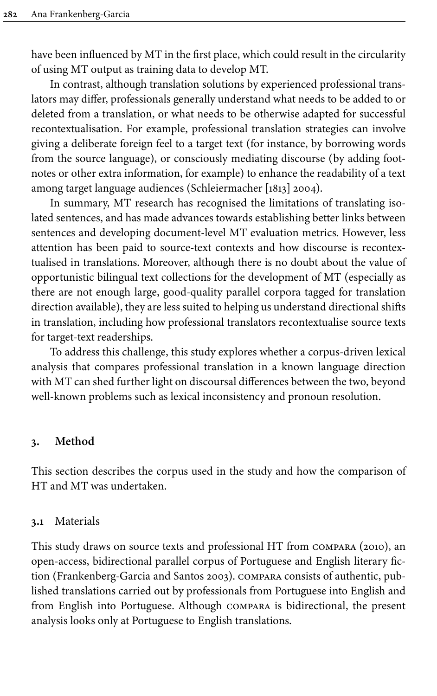have been influenced by MT in the first place, which could result in the circularity of using MT output as training data to develop MT.

In contrast, although translation solutions by experienced professional translators may differ, professionals generally understand what needs to be added to or deleted from a translation, or what needs to be otherwise adapted for successful recontextualisation. For example, professional translation strategies can involve giving a deliberate foreign feel to a target text (for instance, by borrowing words from the source language), or consciously mediating discourse (by adding footnotes or other extra information, for example) to enhance the readability of a text among target language audiences [\(Schleiermacher \[1813\] 2004](#page-29-4)).

In summary, MT research has recognised the limitations of translating isolated sentences, and has made advances towards establishing better links between sentences and developing document-level MT evaluation metrics. However, less attention has been paid to source-text contexts and how discourse is recontextualised in translations. Moreover, although there is no doubt about the value of opportunistic bilingual text collections for the development of MT (especially as there are not enough large, good-quality parallel corpora tagged for translation direction available), they are less suited to helping us understand directional shifts in translation, including how professional translators recontextualise source texts for target-text readerships.

To address this challenge, this study explores whether a corpus-driven lexical analysis that compares professional translation in a known language direction with MT can shed further light on discoursal differences between the two, beyond well-known problems such as lexical inconsistency and pronoun resolution.

## **3. Method**

This section describes the corpus used in the study and how the comparison of HT and MT was undertaken.

## **3.1** Materials

This study draws on source texts and professional HT from [compara](#page-26-3) (2010), an open-access, bidirectional parallel corpus of Portuguese and English literary fiction ([Frankenberg-Garcia](#page-27-4) and Santos 2003). compara consists of authentic, published translations carried out by professionals from Portuguese into English and from English into Portuguese. Although compara is bidirectional, the present analysis looks only at Portuguese to English translations.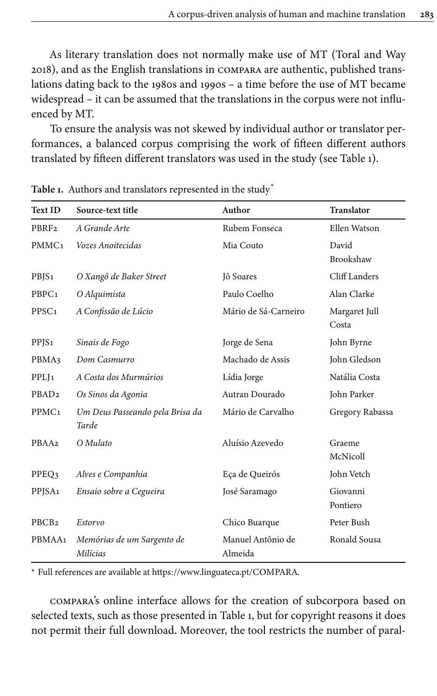As literary translation does not normally make use of MT ([Toral and Way](#page-29-5) [2018\)](#page-29-5), and as the English translations in compara are authentic, published translations dating back to the 1980s and 1990s – a time before the use of MT became widespread – it can be assumed that the translations in the corpus were not influenced by MT.

To ensure the analysis was not skewed by individual author or translator performances, a balanced corpus comprising the work of fifteen different authors translated by fifteen different translators was used in the study (see [Table](#page-5-0) 1).

| <b>Text ID</b>     | Source-text title                        | Author                       | Translator                |
|--------------------|------------------------------------------|------------------------------|---------------------------|
| PBRF <sub>2</sub>  | A Grande Arte                            | Rubem Fonseca                | Ellen Watson              |
| PMMC <sub>1</sub>  | Vozes Anoitecidas                        | Mia Couto                    | David<br><b>Brookshaw</b> |
| PBJS <sub>1</sub>  | O Xangô de Baker Street                  | Jô Soares                    | Cliff Landers             |
| PBPC <sub>1</sub>  | O Alquimista                             | Paulo Coelho                 | Alan Clarke               |
| PPSC <sub>1</sub>  | A Confissão de Lúcio                     | Mário de Sá-Carneiro         | Margaret Jull<br>Costa    |
| PPJS <sub>1</sub>  | Sinais de Fogo                           | Jorge de Sena                | John Byrne                |
| PBMA <sub>3</sub>  | Dom Casmurro                             | Machado de Assis             | John Gledson              |
| PPLJ <sub>1</sub>  | A Costa dos Murmúrios                    | Lídia Jorge                  | Natália Costa             |
| PBAD <sub>2</sub>  | Os Sinos da Agonia                       | Autran Dourado               | John Parker               |
| PPMC <sub>1</sub>  | Um Deus Passeando pela Brisa da<br>Tarde | Mário de Carvalho            | Gregory Rabassa           |
| PBAA2              | O Mulato                                 | Aluísio Azevedo              | Graeme<br>McNicoll        |
| PPEQ3              | Alves e Companhia                        | Eça de Queirós               | John Vetch                |
| PPJSA <sub>1</sub> | Ensaio sobre a Cegueira                  | José Saramago                | Giovanni<br>Pontiero      |
| PBCB <sub>2</sub>  | Estorvo                                  | Chico Buarque                | Peter Bush                |
| PBMAA1             | Memórias de um Sargento de<br>Milícias   | Manuel Antônio de<br>Almeida | Ronald Sousa              |

<span id="page-5-0"></span>**Table 1.** Authors and translators represented in the study[\\*](#page-5-1)

<span id="page-5-1"></span>\* Full references are available at <https://www.linguateca.pt/COMPARA>.

compara's online interface allows for the creation of subcorpora based on selected texts, such as those presented in [Table](#page-5-0) 1, but for copyright reasons it does not permit their full download. Moreover, the tool restricts the number of paral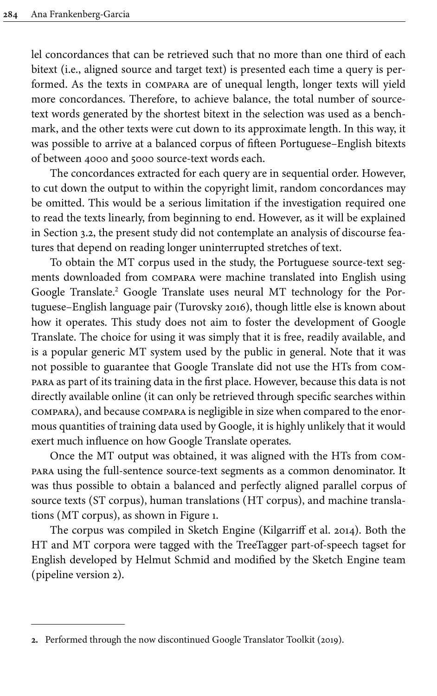lel concordances that can be retrieved such that no more than one third of each bitext (i.e., aligned source and target text) is presented each time a query is performed. As the texts in compara are of unequal length, longer texts will yield more concordances. Therefore, to achieve balance, the total number of sourcetext words generated by the shortest bitext in the selection was used as a benchmark, and the other texts were cut down to its approximate length. In this way, it was possible to arrive at a balanced corpus of fifteen Portuguese–English bitexts of between 4000 and 5000 source-text words each.

The concordances extracted for each query are in sequential order. However, to cut down the output to within the copyright limit, random concordances may be omitted. This would be a serious limitation if the investigation required one to read the texts linearly, from beginning to end. However, as it will be explained in [Section](#page-7-0) 3.2, the present study did not contemplate an analysis of discourse features that depend on reading longer uninterrupted stretches of text.

To obtain the MT corpus used in the study, the Portuguese source-text segments downloaded from compara were machine translated into English using Google Translate. <sup>2</sup> Google Translate uses neural MT technology for the Portuguese–English language pair [\(Turovsky 2016](#page-29-6)), though little else is known about how it operates. This study does not aim to foster the development of Google Translate. The choice for using it was simply that it is free, readily available, and is a popular generic MT system used by the public in general. Note that it was not possible to guarantee that Google Translate did not use the HTs from compara as part of its training data in the first place. However, because this data is not directly available online (it can only be retrieved through specific searches within compara), and because compara is negligible in size when compared to the enormous quantities of training data used by Google, it is highly unlikely that it would exert much influence on how Google Translate operates.

Once the MT output was obtained, it was aligned with the HTs from compara using the full-sentence source-text segments as a common denominator. It was thus possible to obtain a balanced and perfectly aligned parallel corpus of source texts (ST corpus), human translations (HT corpus), and machine translations (MT corpus), as shown in [Figure](#page-7-1) 1.

The corpus was compiled in Sketch Engine ([Kilgarriff et](#page-28-5) al. 2014). Both the HT and MT corpora were tagged with the TreeTagger part-of-speech tagset for English developed by Helmut Schmid and modified by the Sketch Engine team (pipeline version 2).

**<sup>2.</sup>** Performed through the now discontinued [Google Translator Toolkit \(2019\).](#page-27-5)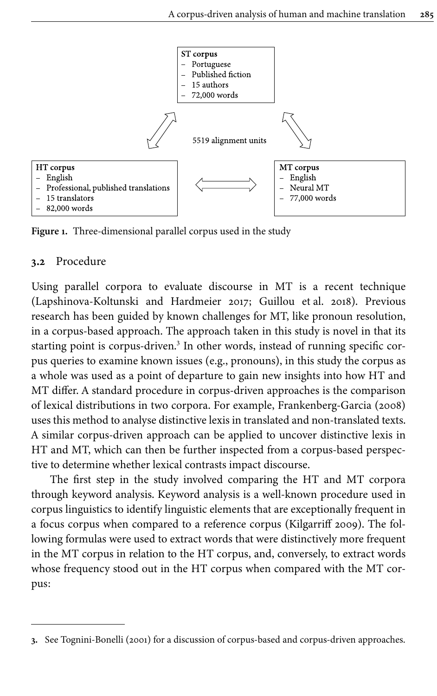<span id="page-7-1"></span>

**Figure 1.** Three-dimensional parallel corpus used in the study

## <span id="page-7-0"></span>**3.2** Procedure

Using parallel corpora to evaluate discourse in MT is a recent technique [\(Lapshinova-Koltunski](#page-28-6) and Hardmeier 2017; [Guillou et](#page-27-6) al. 2018). Previous research has been guided by known challenges for MT, like pronoun resolution, in a corpus-based approach. The approach taken in this study is novel in that its starting point is corpus-driven. 3 In other words, instead of running specific corpus queries to examine known issues (e.g., pronouns), in this study the corpus as a whole was used as a point of departure to gain new insights into how HT and MT differ. A standard procedure in corpus-driven approaches is the comparison of lexical distributions in two corpora. For example, [Frankenberg-Garcia](#page-27-7) (2008) uses this method to analyse distinctive lexis in translated and non-translated texts. A similar corpus-driven approach can be applied to uncover distinctive lexis in HT and MT, which can then be further inspected from a corpus-based perspective to determine whether lexical contrasts impact discourse.

The first step in the study involved comparing the HT and MT corpora through keyword analysis. Keyword analysis is a well-known procedure used in corpus linguistics to identify linguistic elements that are exceptionally frequent in a focus corpus when compared to a reference corpus ([Kilgarriff 2009\)](#page-28-7). The following formulas were used to extract words that were distinctively more frequent in the MT corpus in relation to the HT corpus, and, conversely, to extract words whose frequency stood out in the HT corpus when compared with the MT corpus:

**<sup>3.</sup>** See [Tognini-Bonelli](#page-29-7) (2001) for a discussion of corpus-based and corpus-driven approaches.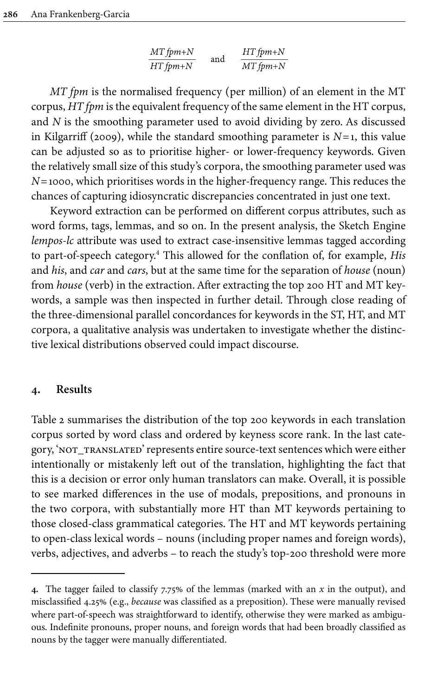| $MT$ fpm+ $N$ | and | $HTfpm+N$ |
|---------------|-----|-----------|
| $HTfpm+N$     |     | MT fpm+N  |

*MT fpm* is the normalised frequency (per million) of an element in the MT corpus, *HT fpm* is the equivalent frequency of the same element in the HT corpus, and *N* is the smoothing parameter used to avoid dividing by zero. As discussed in [Kilgarriff \(2009\)](#page-28-7), while the standard smoothing parameter is  $N=1$ , this value can be adjusted so as to prioritise higher- or lower-frequency keywords. Given the relatively small size of this study's corpora, the smoothing parameter used was *N*=1000, which prioritises words in the higher-frequency range. This reduces the chances of capturing idiosyncratic discrepancies concentrated in just one text.

Keyword extraction can be performed on different corpus attributes, such as word forms, tags, lemmas, and so on. In the present analysis, the Sketch Engine *lempos-lc* attribute was used to extract case-insensitive lemmas tagged according to part-of-speech category. <sup>4</sup> This allowed for the conflation of, for example, *His* and *his*, and *car* and *cars*, but at the same time for the separation of *house* (noun) from *house* (verb) in the extraction. After extracting the top 200 HT and MT keywords, a sample was then inspected in further detail. Through close reading of the three-dimensional parallel concordances for keywords in the ST, HT, and MT corpora, a qualitative analysis was undertaken to investigate whether the distinctive lexical distributions observed could impact discourse.

## **4. Results**

[Table](#page-9-0) 2 summarises the distribution of the top 200 keywords in each translation corpus sorted by word class and ordered by keyness score rank. In the last category, 'NOT\_TRANSLATED' represents entire source-text sentences which were either intentionally or mistakenly left out of the translation, highlighting the fact that this is a decision or error only human translators can make. Overall, it is possible to see marked differences in the use of modals, prepositions, and pronouns in the two corpora, with substantially more HT than MT keywords pertaining to those closed-class grammatical categories. The HT and MT keywords pertaining to open-class lexical words – nouns (including proper names and foreign words), verbs, adjectives, and adverbs – to reach the study's top-200 threshold were more

**<sup>4.</sup>** The tagger failed to classify 7.75% of the lemmas (marked with an *x* in the output), and misclassified 4.25% (e.g., *because* was classified as a preposition). These were manually revised where part-of-speech was straightforward to identify, otherwise they were marked as ambiguous. Indefinite pronouns, proper nouns, and foreign words that had been broadly classified as nouns by the tagger were manually differentiated.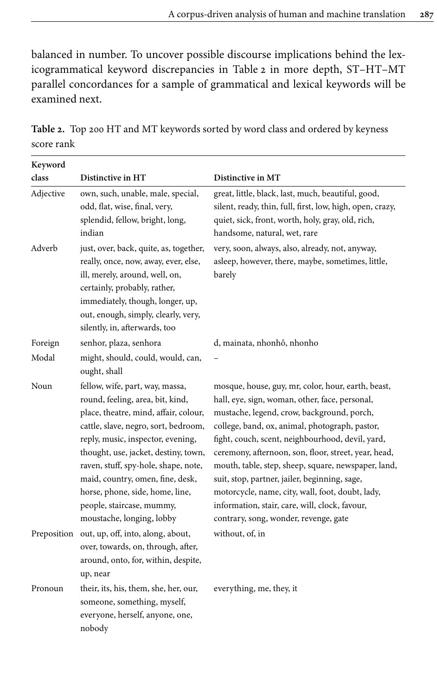balanced in number. To uncover possible discourse implications behind the lexicogrammatical keyword discrepancies in [Table](#page-9-0) 2 in more depth, ST–HT–MT parallel concordances for a sample of grammatical and lexical keywords will be examined next.

| class     | Distinctive in HT                                                                                                                                                                                                                                                                                                                                                                                          | Distinctive in MT                                                                                                                                                                                                                                                                                                                                                                                                                                                                                                                                                       |
|-----------|------------------------------------------------------------------------------------------------------------------------------------------------------------------------------------------------------------------------------------------------------------------------------------------------------------------------------------------------------------------------------------------------------------|-------------------------------------------------------------------------------------------------------------------------------------------------------------------------------------------------------------------------------------------------------------------------------------------------------------------------------------------------------------------------------------------------------------------------------------------------------------------------------------------------------------------------------------------------------------------------|
| Adjective | own, such, unable, male, special,<br>odd, flat, wise, final, very,<br>splendid, fellow, bright, long,<br>indian                                                                                                                                                                                                                                                                                            | great, little, black, last, much, beautiful, good,<br>silent, ready, thin, full, first, low, high, open, crazy,<br>quiet, sick, front, worth, holy, gray, old, rich,<br>handsome, natural, wet, rare                                                                                                                                                                                                                                                                                                                                                                    |
| Adverb    | just, over, back, quite, as, together,<br>really, once, now, away, ever, else,<br>ill, merely, around, well, on,<br>certainly, probably, rather,<br>immediately, though, longer, up,<br>out, enough, simply, clearly, very,<br>silently, in, afterwards, too                                                                                                                                               | very, soon, always, also, already, not, anyway,<br>asleep, however, there, maybe, sometimes, little,<br>barely                                                                                                                                                                                                                                                                                                                                                                                                                                                          |
| Foreign   | senhor, plaza, senhora                                                                                                                                                                                                                                                                                                                                                                                     | d, mainata, nhonhô, nhonho                                                                                                                                                                                                                                                                                                                                                                                                                                                                                                                                              |
| Modal     | might, should, could, would, can,<br>ought, shall                                                                                                                                                                                                                                                                                                                                                          |                                                                                                                                                                                                                                                                                                                                                                                                                                                                                                                                                                         |
| Noun      | fellow, wife, part, way, massa,<br>round, feeling, area, bit, kind,<br>place, theatre, mind, affair, colour,<br>cattle, slave, negro, sort, bedroom,<br>reply, music, inspector, evening,<br>thought, use, jacket, destiny, town,<br>raven, stuff, spy-hole, shape, note,<br>maid, country, omen, fine, desk,<br>horse, phone, side, home, line,<br>people, staircase, mummy,<br>moustache, longing, lobby | mosque, house, guy, mr, color, hour, earth, beast,<br>hall, eye, sign, woman, other, face, personal,<br>mustache, legend, crow, background, porch,<br>college, band, ox, animal, photograph, pastor,<br>fight, couch, scent, neighbourhood, devil, yard,<br>ceremony, afternoon, son, floor, street, year, head,<br>mouth, table, step, sheep, square, newspaper, land,<br>suit, stop, partner, jailer, beginning, sage,<br>motorcycle, name, city, wall, foot, doubt, lady,<br>information, stair, care, will, clock, favour,<br>contrary, song, wonder, revenge, gate |
|           | Preposition out, up, off, into, along, about,<br>over, towards, on, through, after,<br>around, onto, for, within, despite,<br>up, near                                                                                                                                                                                                                                                                     | without, of, in                                                                                                                                                                                                                                                                                                                                                                                                                                                                                                                                                         |
| Pronoun   | their, its, his, them, she, her, our,<br>someone, something, myself,<br>everyone, herself, anyone, one,<br>nobody                                                                                                                                                                                                                                                                                          | everything, me, they, it                                                                                                                                                                                                                                                                                                                                                                                                                                                                                                                                                |

<span id="page-9-0"></span>**Table 2.** Top 200 HT and MT keywords sorted by word class and ordered by keyness score rank

**Keyword**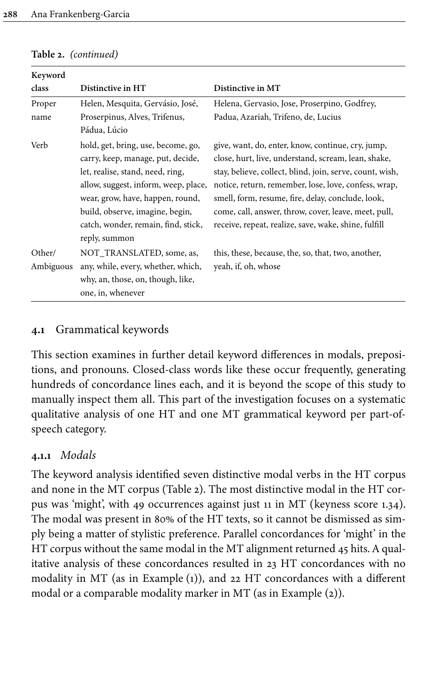| Keyword   |                                                                                                                                                                                                                                                                   |                                                                                                                                                                                                                                                                                                                                                                                                   |
|-----------|-------------------------------------------------------------------------------------------------------------------------------------------------------------------------------------------------------------------------------------------------------------------|---------------------------------------------------------------------------------------------------------------------------------------------------------------------------------------------------------------------------------------------------------------------------------------------------------------------------------------------------------------------------------------------------|
| class     | Distinctive in HT                                                                                                                                                                                                                                                 | Distinctive in MT                                                                                                                                                                                                                                                                                                                                                                                 |
| Proper    | Helen, Mesquita, Gervásio, José,                                                                                                                                                                                                                                  | Helena, Gervasio, Jose, Proserpino, Godfrey,                                                                                                                                                                                                                                                                                                                                                      |
| name      | Proserpinus, Alves, Trifenus,                                                                                                                                                                                                                                     | Padua, Azariah, Trifeno, de, Lucius                                                                                                                                                                                                                                                                                                                                                               |
|           | Pádua, Lúcio                                                                                                                                                                                                                                                      |                                                                                                                                                                                                                                                                                                                                                                                                   |
| Verb      | hold, get, bring, use, become, go,<br>carry, keep, manage, put, decide,<br>let, realise, stand, need, ring,<br>allow, suggest, inform, weep, place,<br>wear, grow, have, happen, round,<br>build, observe, imagine, begin,<br>catch, wonder, remain, find, stick, | give, want, do, enter, know, continue, cry, jump,<br>close, hurt, live, understand, scream, lean, shake,<br>stay, believe, collect, blind, join, serve, count, wish,<br>notice, return, remember, lose, love, confess, wrap,<br>smell, form, resume, fire, delay, conclude, look,<br>come, call, answer, throw, cover, leave, meet, pull,<br>receive, repeat, realize, save, wake, shine, fulfill |
| Other/    | reply, summon<br>NOT TRANSLATED, some, as,                                                                                                                                                                                                                        | this, these, because, the, so, that, two, another,                                                                                                                                                                                                                                                                                                                                                |
| Ambiguous | any, while, every, whether, which,                                                                                                                                                                                                                                | yeah, if, oh, whose                                                                                                                                                                                                                                                                                                                                                                               |
|           | why, an, those, on, though, like,                                                                                                                                                                                                                                 |                                                                                                                                                                                                                                                                                                                                                                                                   |
|           | one, in, whenever                                                                                                                                                                                                                                                 |                                                                                                                                                                                                                                                                                                                                                                                                   |

#### **Table 2.** *(continued)*

# **4.1** Grammatical keywords

This section examines in further detail keyword differences in modals, prepositions, and pronouns. Closed-class words like these occur frequently, generating hundreds of concordance lines each, and it is beyond the scope of this study to manually inspect them all. This part of the investigation focuses on a systematic qualitative analysis of one HT and one MT grammatical keyword per part-ofspeech category.

# **4.1.1** *Modals*

The keyword analysis identified seven distinctive modal verbs in the HT corpus and none in the MT corpus [\(Table](#page-9-0) 2). The most distinctive modal in the HT corpus was 'might', with 49 occurrences against just 11 in MT (keyness score 1.34). The modal was present in 80% of the HT texts, so it cannot be dismissed as simply being a matter of stylistic preference. Parallel concordances for 'might' in the HT corpus without the same modal in the MT alignment returned 45 hits. A qualitative analysis of these concordances resulted in 23 HT concordances with no modality in MT (as in Example ([1](#page-11-0))), and 22 HT concordances with a different modal or a comparable modality marker in MT (as in Example ([2](#page-11-1))).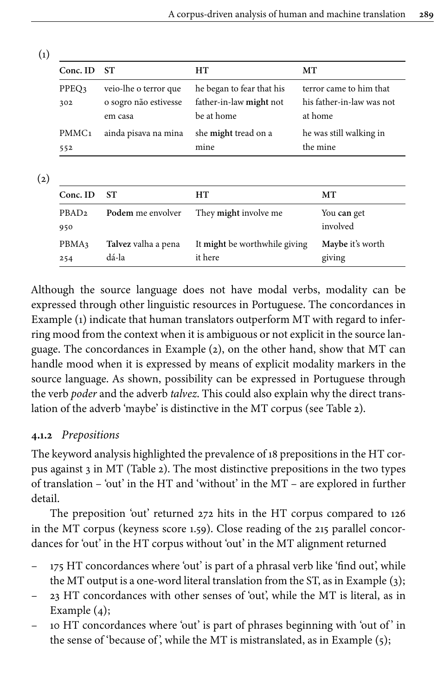<span id="page-11-0"></span>

| Conc. ID          | -ST                   | HТ                        | MТ                        |
|-------------------|-----------------------|---------------------------|---------------------------|
| PPEQ3             | veio-lhe o terror que | he began to fear that his | terror came to him that   |
| 302               | o sogro não estivesse | father-in-law might not   | his father-in-law was not |
|                   | em casa               | be at home                | at home                   |
| PMMC <sub>1</sub> | ainda pisava na mina  | she might tread on a      | he was still walking in   |
| 552               |                       | mine                      | the mine                  |

<span id="page-11-1"></span>(2)

| Conc. ID                 | SТ                           | HТ                                       | MТ                         |
|--------------------------|------------------------------|------------------------------------------|----------------------------|
| PBAD <sub>2</sub><br>950 | Podem me envolver            | They might involve me                    | You can get<br>involved    |
| PBMA3<br>254             | Talvez valha a pena<br>dá-la | It might be worthwhile giving<br>it here | Maybe it's worth<br>giving |

Although the source language does not have modal verbs, modality can be expressed through other linguistic resources in Portuguese. The concordances in Example ([1](#page-11-0)) indicate that human translators outperform MT with regard to inferring mood from the context when it is ambiguous or not explicit in the source language. The concordances in Example [\(2\)](#page-11-1), on the other hand, show that MT can handle mood when it is expressed by means of explicit modality markers in the source language. As shown, possibility can be expressed in Portuguese through the verb *poder* and the adverb *talvez*. This could also explain why the direct translation of the adverb 'maybe' is distinctive in the MT corpus (see [Table](#page-9-0) 2).

# **4.1.2** *Prepositions*

The keyword analysis highlighted the prevalence of 18 prepositions in the HT corpus against 3 in MT ([Table](#page-9-0) 2). The most distinctive prepositions in the two types of translation – 'out' in the HT and 'without' in the MT – are explored in further detail.

The preposition 'out' returned 272 hits in the HT corpus compared to 126 in the MT corpus (keyness score 1.59). Close reading of the 215 parallel concordances for 'out' in the HT corpus without 'out' in the MT alignment returned

- 175 HT concordances where 'out' is part of a phrasal verb like 'find out', while the MT output is a one-word literal translation from the ST, as in Example [\(3\)](#page-12-0);
- 23 HT concordances with other senses of 'out', while the MT is literal, as in Example ([4\)](#page-12-1);
- 10 HT concordances where 'out' is part of phrases beginning with 'out of ' in the sense of 'because of', while the MT is mistranslated, as in Example  $(5)$ ;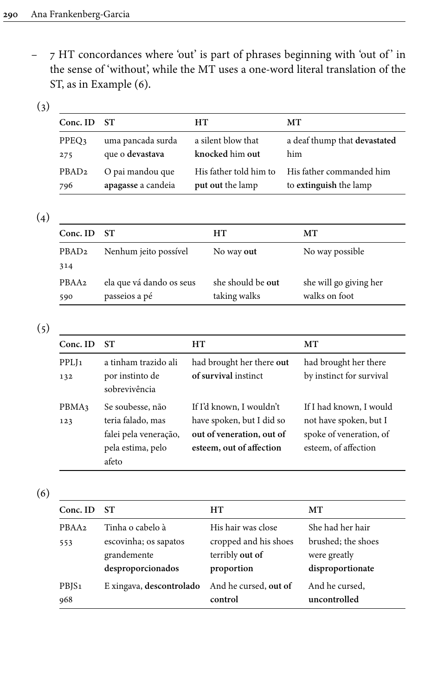– 7 HT concordances where 'out' is part of phrases beginning with 'out of ' in the sense of 'without', while the MT uses a one-word literal translation of the ST, as in Example ([6\)](#page-12-3).

<span id="page-12-0"></span>(3)

| a silent blow that<br>a deaf thump that devastated<br>knocked him out<br>him                     |
|--------------------------------------------------------------------------------------------------|
| His father commanded him<br>His father told him to<br>put out the lamp<br>to extinguish the lamp |
|                                                                                                  |

<span id="page-12-1"></span>(4)

| $Conc.$ ID        | - ST                     | HТ                | MТ                     |
|-------------------|--------------------------|-------------------|------------------------|
| PBAD <sub>2</sub> | Nenhum jeito possível    | No way out        | No way possible        |
| 314               |                          |                   |                        |
| PBAA <sub>2</sub> | ela que vá dando os seus | she should be out | she will go giving her |
| 590               | passeios a pé            | taking walks      | walks on foot          |

<span id="page-12-2"></span>(5)

| Conc. ID                 | <b>ST</b>                                                                                    | HТ                                                                                                             | MT                                                                                                   |
|--------------------------|----------------------------------------------------------------------------------------------|----------------------------------------------------------------------------------------------------------------|------------------------------------------------------------------------------------------------------|
| PPLJ <sub>1</sub><br>132 | a tinham trazido ali<br>por instinto de<br>sobrevivência                                     | had brought her there out<br>of survival instinct                                                              | had brought her there<br>by instinct for survival                                                    |
| PBMA3<br>123             | Se soubesse, não<br>teria falado, mas<br>falei pela veneração,<br>pela estima, pelo<br>afeto | If I'd known, I wouldn't<br>have spoken, but I did so<br>out of veneration, out of<br>esteem, out of affection | If I had known, I would<br>not have spoken, but I<br>spoke of veneration, of<br>esteem, of affection |

<span id="page-12-3"></span>(6)

| Conc. ID          | <b>ST</b>                | HТ                    | MТ                 |
|-------------------|--------------------------|-----------------------|--------------------|
| PBAA <sub>2</sub> | Tinha o cabelo à         | His hair was close    | She had her hair   |
| 553               | escovinha; os sapatos    | cropped and his shoes | brushed; the shoes |
|                   | grandemente              | terribly out of       | were greatly       |
|                   | desproporcionados        | proportion            | disproportionate   |
| PBJS <sub>1</sub> | E xingava, descontrolado | And he cursed, out of | And he cursed,     |
| 968               |                          | control               | uncontrolled       |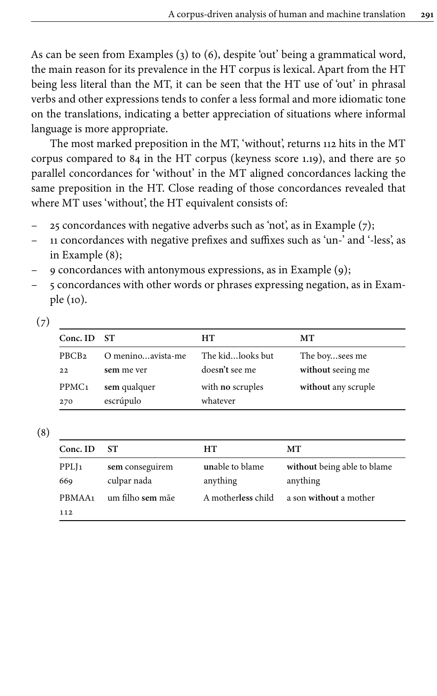As can be seen from Examples [\(3\)](#page-12-0) to ([6](#page-12-3)), despite 'out' being a grammatical word, the main reason for its prevalence in the HT corpus is lexical. Apart from the HT being less literal than the MT, it can be seen that the HT use of 'out' in phrasal verbs and other expressions tends to confer a less formal and more idiomatic tone on the translations, indicating a better appreciation of situations where informal language is more appropriate.

The most marked preposition in the MT, 'without', returns 112 hits in the MT corpus compared to 84 in the HT corpus (keyness score 1.19), and there are 50 parallel concordances for 'without' in the MT aligned concordances lacking the same preposition in the HT. Close reading of those concordances revealed that where MT uses 'without', the HT equivalent consists of:

- 25 concordances with negative adverbs such as 'not', as in Example  $(7)$ ;
- 11 concordances with negative prefixes and suffixes such as 'un-' and '-less', as in Example ([8](#page-13-1));
- 9 concordances with antonymous expressions, as in Example [\(9](#page-14-0));
- 5 concordances with other words or phrases expressing negation, as in Example [\(10](#page-14-1)).

<span id="page-13-0"></span>

| × | ۰ | I<br>÷ |
|---|---|--------|

| Conc. ID ST       |                   | HТ               | MТ                  |
|-------------------|-------------------|------------------|---------------------|
| PBCB <sub>2</sub> | O meninoavista-me | The kidlooks but | The boysees me      |
| 22                | sem me ver        | doesn't see me   | without seeing me   |
| PPMC <sub>1</sub> | sem qualquer      | with no scruples | without any scruple |
| 270               | escrúpulo         | whatever         |                     |

<span id="page-13-1"></span>(8)

| Conc. ID                  | ST.                            | HТ                          | MТ                                      |
|---------------------------|--------------------------------|-----------------------------|-----------------------------------------|
| PPLJ <sub>1</sub><br>669  | sem conseguirem<br>culpar nada | unable to blame<br>anything | without being able to blame<br>anything |
| PBMAA <sub>1</sub><br>112 | um filho sem mãe               | A motherless child          | a son without a mother                  |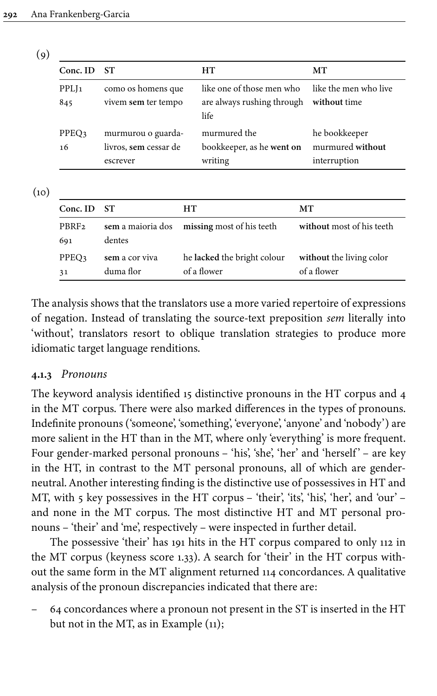<span id="page-14-0"></span>

| × | ۰.<br>ł |  |
|---|---------|--|

| Conc. ID                 | <b>ST</b>                                               | HT                                                              | MТ                                                |
|--------------------------|---------------------------------------------------------|-----------------------------------------------------------------|---------------------------------------------------|
| PPLJ <sub>1</sub><br>845 | como os homens que<br>vivem sem ter tempo               | like one of those men who<br>are always rushing through<br>life | like the men who live<br>without time             |
| PPEO3<br>16              | murmurou o guarda-<br>livros, sem cessar de<br>escrever | murmured the<br>bookkeeper, as he went on<br>writing            | he bookkeeper<br>murmured without<br>interruption |

<span id="page-14-1"></span> $(10)$ 

| $Conc.$ ID               | - ST                        | HТ                                          | MТ                                      |
|--------------------------|-----------------------------|---------------------------------------------|-----------------------------------------|
| PBRF <sub>2</sub><br>691 | dentes                      | sem a maioria dos missing most of his teeth | without most of his teeth               |
| PPEO3<br>31              | sem a cor viva<br>duma flor | he lacked the bright colour<br>of a flower  | without the living color<br>of a flower |

The analysis shows that the translators use a more varied repertoire of expressions of negation. Instead of translating the source-text preposition *sem* literally into 'without', translators resort to oblique translation strategies to produce more idiomatic target language renditions.

#### **4.1.3** *Pronouns*

The keyword analysis identified 15 distinctive pronouns in the HT corpus and 4 in the MT corpus. There were also marked differences in the types of pronouns. Indefinite pronouns ('someone', 'something', 'everyone', 'anyone' and 'nobody') are more salient in the HT than in the MT, where only 'everything' is more frequent. Four gender-marked personal pronouns – 'his', 'she', 'her' and 'herself' – are key in the HT, in contrast to the MT personal pronouns, all of which are genderneutral. Another interesting finding is the distinctive use of possessives in HT and MT, with 5 key possessives in the HT corpus – 'their', 'its', 'his', 'her', and 'our' – and none in the MT corpus. The most distinctive HT and MT personal pronouns – 'their' and 'me', respectively – were inspected in further detail.

The possessive 'their' has 191 hits in the HT corpus compared to only 112 in the MT corpus (keyness score 1.33). A search for 'their' in the HT corpus without the same form in the MT alignment returned 114 concordances. A qualitative analysis of the pronoun discrepancies indicated that there are:

– 64 concordances where a pronoun not present in the ST is inserted in the HT but not in the MT, as in Example ([11\)](#page-15-0);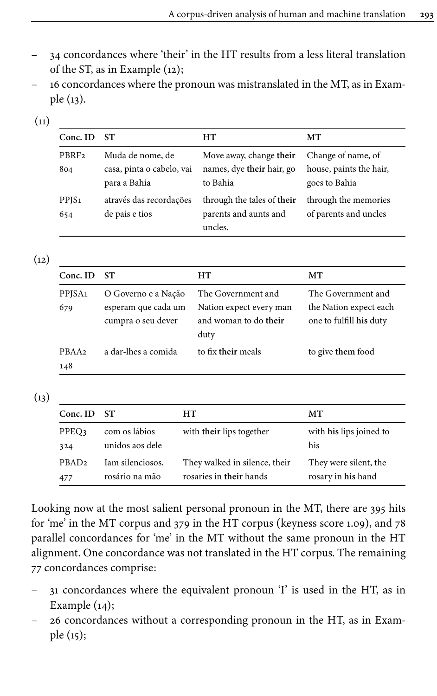- 34 concordances where 'their' in the HT results from a less literal translation of the ST, as in Example [\(12](#page-15-1));
- 16 concordances where the pronoun was mistranslated in the MT, as in Example [\(13](#page-15-2)).

<span id="page-15-0"></span>

| × |  | I<br>I<br>× |
|---|--|-------------|

| Conc. ID                 | <b>ST</b>                                                     | HT                                                               | MТ                                                             |
|--------------------------|---------------------------------------------------------------|------------------------------------------------------------------|----------------------------------------------------------------|
| PBRF <sub>2</sub><br>804 | Muda de nome, de<br>casa, pinta o cabelo, vai<br>para a Bahia | Move away, change their<br>names, dye their hair, go<br>to Bahia | Change of name, of<br>house, paints the hair,<br>goes to Bahia |
| PPJS <sub>1</sub><br>654 | através das recordações<br>de pais e tios                     | through the tales of their<br>parents and aunts and<br>uncles.   | through the memories<br>of parents and uncles                  |

<span id="page-15-1"></span>

|   | I |
|---|---|
| × | ÷ |

| Conc. ID                  | <b>ST</b>                                                        | HТ                                                                             | MТ                                                                      |
|---------------------------|------------------------------------------------------------------|--------------------------------------------------------------------------------|-------------------------------------------------------------------------|
| PPJSA <sub>1</sub><br>679 | O Governo e a Nação<br>esperam que cada um<br>cumpra o seu dever | The Government and<br>Nation expect every man<br>and woman to do their<br>duty | The Government and<br>the Nation expect each<br>one to fulfill his duty |
| PBAA <sub>2</sub><br>148  | a dar-lhes a comida                                              | to fix their meals                                                             | to give them food                                                       |

<span id="page-15-2"></span> $(13)$ 

| Conc. ID          | -ST              | HТ                            | MТ                      |
|-------------------|------------------|-------------------------------|-------------------------|
| PPEO3             | com os lábios    | with their lips together      | with his lips joined to |
| 324               | unidos aos dele  |                               | his                     |
| PBAD <sub>2</sub> | Iam silenciosos, | They walked in silence, their | They were silent, the   |
| 477               | rosário na mão   | rosaries in their hands       | rosary in his hand      |

Looking now at the most salient personal pronoun in the MT, there are 395 hits for 'me' in the MT corpus and 379 in the HT corpus (keyness score 1.09), and 78 parallel concordances for 'me' in the MT without the same pronoun in the HT alignment. One concordance was not translated in the HT corpus. The remaining 77 concordances comprise:

- 31 concordances where the equivalent pronoun 'I' is used in the HT, as in Example ([14](#page-16-0));
- 26 concordances without a corresponding pronoun in the HT, as in Example [\(15\)](#page-16-1);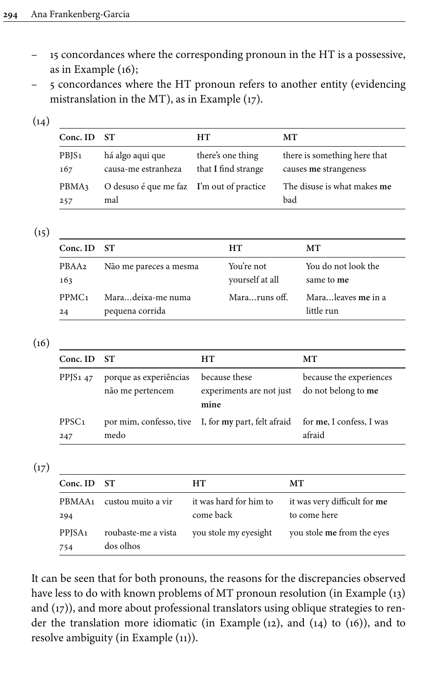- 15 concordances where the corresponding pronoun in the HT is a possessive, as in Example [\(16](#page-16-2));
- 5 concordances where the HT pronoun refers to another entity (evidencing mistranslation in the MT), as in Example ([17\)](#page-16-3).

<span id="page-16-0"></span>

| × | I<br>× |
|---|--------|

| Conc. ID ST       |                                           | HТ                  | MТ                           |
|-------------------|-------------------------------------------|---------------------|------------------------------|
| PBJS <sub>1</sub> | há algo aqui que                          | there's one thing   | there is something here that |
| 167               | causa-me estranheza                       | that I find strange | causes me strangeness        |
| PBMA3             | O desuso é que me faz I'm out of practice |                     | The disuse is what makes me  |
| 257               | mal                                       |                     | bad                          |

<span id="page-16-1"></span> $(15)$ 

| Conc. ID ST       |                        | HТ              | MT.                 |
|-------------------|------------------------|-----------------|---------------------|
| PBAA2             | Não me pareces a mesma | You're not      | You do not look the |
| 163               |                        | yourself at all | same to me          |
| PPMC <sub>1</sub> | Maradeixa-me numa      | Mararuns off.   | Maraleaves me in a  |
| 24                | pequena corrida        |                 | little run          |

<span id="page-16-2"></span> $(16)$ 

| Conc. ID ST              |                                            | HT                                                  | MТ                                             |
|--------------------------|--------------------------------------------|-----------------------------------------------------|------------------------------------------------|
| PPJS $147$               | porque as experiências<br>não me pertencem | because these<br>experiments are not just<br>mine   | because the experiences<br>do not belong to me |
| PPSC <sub>1</sub><br>247 | medo                                       | por mim, confesso, tive I, for my part, felt afraid | for me, I confess, I was<br>afraid             |

<span id="page-16-3"></span> $(17)$ 

| Conc. ID                  | - ST                             | HТ                                  | MТ                                           |
|---------------------------|----------------------------------|-------------------------------------|----------------------------------------------|
| PBMAA <sub>1</sub><br>294 | custou muito a vir               | it was hard for him to<br>come back | it was very difficult for me<br>to come here |
| PPJSA <sub>1</sub><br>754 | roubaste-me a vista<br>dos olhos | you stole my eyesight               | you stole me from the eyes                   |

It can be seen that for both pronouns, the reasons for the discrepancies observed have less to do with known problems of MT pronoun resolution (in Example ([13\)](#page-15-2) and [\(17\)](#page-16-3)), and more about professional translators using oblique strategies to render the translation more idiomatic (in Example ([12\)](#page-15-1), and ([14\)](#page-16-0) to ([16](#page-16-2))), and to resolve ambiguity (in Example [\(11](#page-15-0))).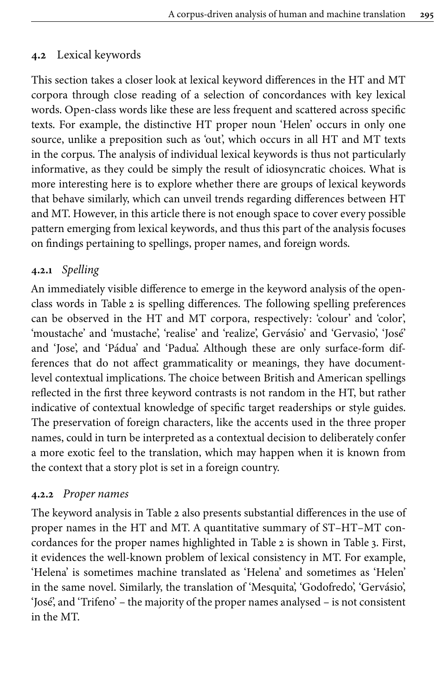# **4.2** Lexical keywords

This section takes a closer look at lexical keyword differences in the HT and MT corpora through close reading of a selection of concordances with key lexical words. Open-class words like these are less frequent and scattered across specific texts. For example, the distinctive HT proper noun 'Helen' occurs in only one source, unlike a preposition such as 'out', which occurs in all HT and MT texts in the corpus. The analysis of individual lexical keywords is thus not particularly informative, as they could be simply the result of idiosyncratic choices. What is more interesting here is to explore whether there are groups of lexical keywords that behave similarly, which can unveil trends regarding differences between HT and MT. However, in this article there is not enough space to cover every possible pattern emerging from lexical keywords, and thus this part of the analysis focuses on findings pertaining to spellings, proper names, and foreign words.

# <span id="page-17-0"></span>**4.2.1** *Spelling*

An immediately visible difference to emerge in the keyword analysis of the openclass words in [Table](#page-9-0) 2 is spelling differences. The following spelling preferences can be observed in the HT and MT corpora, respectively: 'colour' and 'color', 'moustache' and 'mustache', 'realise' and 'realize', Gervásio' and 'Gervasio', 'José' and 'Jose', and 'Pádua' and 'Padua'. Although these are only surface-form differences that do not affect grammaticality or meanings, they have documentlevel contextual implications. The choice between British and American spellings reflected in the first three keyword contrasts is not random in the HT, but rather indicative of contextual knowledge of specific target readerships or style guides. The preservation of foreign characters, like the accents used in the three proper names, could in turn be interpreted as a contextual decision to deliberately confer a more exotic feel to the translation, which may happen when it is known from the context that a story plot is set in a foreign country.

# **4.2.2** *Proper names*

The keyword analysis in [Table](#page-9-0) 2 also presents substantial differences in the use of proper names in the HT and MT. A quantitative summary of ST–HT–MT concordances for the proper names highlighted in [Table](#page-9-0) 2 is shown in [Table](#page-18-0) 3. First, it evidences the well-known problem of lexical consistency in MT. For example, 'Helena' is sometimes machine translated as 'Helena' and sometimes as 'Helen' in the same novel. Similarly, the translation of 'Mesquita', 'Godofredo', 'Gervásio', 'José', and 'Trifeno' – the majority of the proper names analysed – is not consistent in the MT.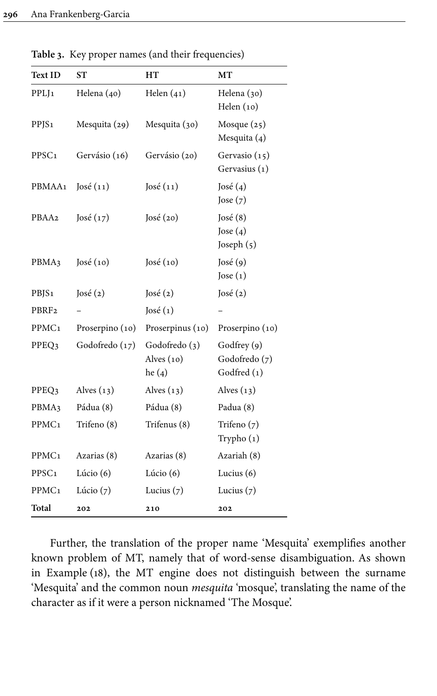| <b>Text ID</b>    | SТ              | HT                                        | МT                                          |
|-------------------|-----------------|-------------------------------------------|---------------------------------------------|
| PPLJ <sub>1</sub> | Helena (40)     | Helen $(41)$                              | Helena (30)<br>Helen $(10)$                 |
| PPJS <sub>1</sub> | Mesquita (29)   | Mesquita (30)                             | Mosque (25)<br>Mesquita (4)                 |
| PPSC <sub>1</sub> | Gervásio (16)   | Gervásio (20)                             | Gervasio (15)<br>Gervasius (1)              |
| PBMAA1            | José(11)        | José(11)                                  | José $(4)$<br>Jose $(7)$                    |
| PBAA2             | José $(17)$     | José(20)                                  | José $(8)$<br>Jose $(4)$<br>Joseph (5)      |
| PBMA3             | José $(10)$     | José $(10)$                               | José (9)<br>Jose $(1)$                      |
| PBJS <sub>1</sub> | José(2)         | José(2)                                   | José (2)                                    |
| PBRF <sub>2</sub> |                 | José(1)                                   |                                             |
| PPMC <sub>1</sub> | Proserpino (10) | Proserpinus (10)                          | Proserpino (10)                             |
| PPEQ3             | Godofredo (17)  | Godofredo (3)<br>Alves $(10)$<br>he $(4)$ | Godfrey (9)<br>Godofredo (7)<br>Godfred (1) |
| PPEQ3             | Alves $(13)$    | Alves $(13)$                              | Alves $(13)$                                |
| PBMA3             | Pádua (8)       | Pádua (8)                                 | Padua (8)                                   |
| PPMC <sub>1</sub> | Trifeno (8)     | Trifenus (8)                              | Trifeno $(7)$<br>Trypho (1)                 |
| PPMC <sub>1</sub> | Azarias (8)     | Azarias (8)                               | Azariah (8)                                 |
| PPSC <sub>1</sub> | Lúcio $(6)$     | Lúcio $(6)$                               | Lucius $(6)$                                |
| PPMC <sub>1</sub> | Lúcio $(7)$     | Lucius $(7)$                              | Lucius $(7)$                                |
| Total             | 202             | 210                                       | 202                                         |

<span id="page-18-0"></span>**Table 3.** Key proper names (and their frequencies)

Further, the translation of the proper name 'Mesquita' exemplifies another known problem of MT, namely that of word-sense disambiguation. As shown in Example [\(18\)](#page-19-0), the MT engine does not distinguish between the surname 'Mesquita' and the common noun *mesquita* 'mosque', translating the name of the character as if it were a person nicknamed 'The Mosque'.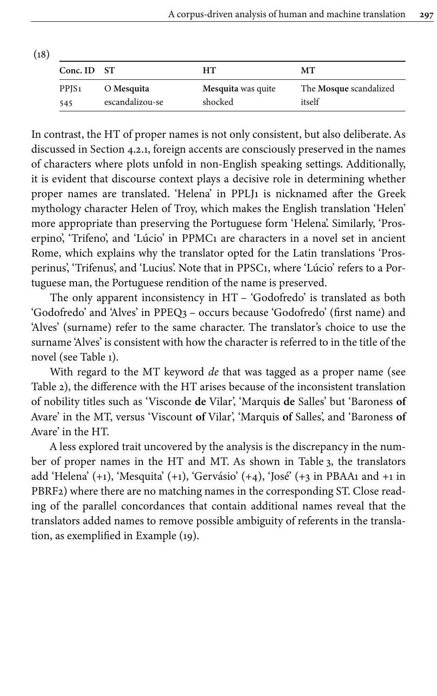<span id="page-19-0"></span>

| (18) |                   |                 |                    |                        |
|------|-------------------|-----------------|--------------------|------------------------|
|      | Conc. ID ST       |                 | HТ                 | MТ                     |
|      | PPJS <sub>1</sub> | O Mesquita      | Mesquita was quite | The Mosque scandalized |
|      | 545               | escandalizou-se | shocked            | itself                 |

In contrast, the HT of proper names is not only consistent, but also deliberate. As discussed in [Section](#page-17-0) 4.2.1, foreign accents are consciously preserved in the names of characters where plots unfold in non-English speaking settings. Additionally, it is evident that discourse context plays a decisive role in determining whether proper names are translated. 'Helena' in PPLJ1 is nicknamed after the Greek mythology character Helen of Troy, which makes the English translation 'Helen' more appropriate than preserving the Portuguese form 'Helena'. Similarly, 'Proserpino', 'Trifeno', and 'Lúcio' in PPMC1 are characters in a novel set in ancient Rome, which explains why the translator opted for the Latin translations 'Prosperinus', 'Trifenus', and 'Lucius'. Note that in PPSC1, where 'Lúcio' refers to a Portuguese man, the Portuguese rendition of the name is preserved.

The only apparent inconsistency in HT – 'Godofredo' is translated as both 'Godofredo' and 'Alves' in PPEQ3 – occurs because 'Godofredo' (first name) and 'Alves' (surname) refer to the same character. The translator's choice to use the surname 'Alves' is consistent with how the character is referred to in the title of the novel (see [Table](#page-5-0) 1).

With regard to the MT keyword *de* that was tagged as a proper name (see [Table](#page-9-0) 2), the difference with the HT arises because of the inconsistent translation of nobility titles such as 'Visconde **de** Vilar', 'Marquis **de** Salles' but 'Baroness **of** Avare' in the MT, versus 'Viscount **of** Vilar', 'Marquis **of** Salles', and 'Baroness **of** Avare' in the HT.

A less explored trait uncovered by the analysis is the discrepancy in the number of proper names in the HT and MT. As shown in [Table](#page-18-0) 3, the translators add 'Helena' (+1), 'Mesquita' (+1), 'Gervásio' (+4), 'José' (+3 in PBAA1 and +1 in PBRF2) where there are no matching names in the corresponding ST. Close reading of the parallel concordances that contain additional names reveal that the translators added names to remove possible ambiguity of referents in the translation, as exemplified in Example [\(19\)](#page-20-0).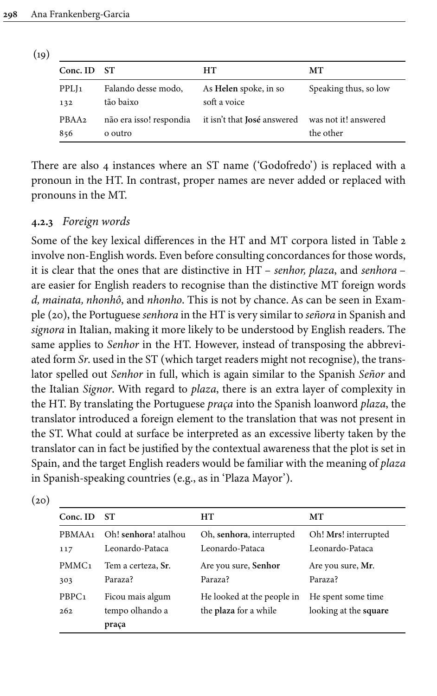<span id="page-20-0"></span>

| (19) |                          |                                    |                                       |                                   |
|------|--------------------------|------------------------------------|---------------------------------------|-----------------------------------|
|      | Conc. ID ST              |                                    | HТ                                    | MТ                                |
|      | PPLJ <sub>1</sub><br>132 | Falando desse modo,<br>tão baixo   | As Helen spoke, in so<br>soft a voice | Speaking thus, so low             |
|      | PBAA <sub>2</sub><br>856 | não era isso! respondia<br>o outro | it isn't that José answered           | was not it! answered<br>the other |

There are also 4 instances where an ST name ('Godofredo') is replaced with a pronoun in the HT. In contrast, proper names are never added or replaced with pronouns in the MT.

## **4.2.3** *Foreign words*

Some of the key lexical differences in the HT and MT corpora listed in [Table](#page-9-0) 2 involve non-English words. Even before consulting concordances for those words, it is clear that the ones that are distinctive in HT – *senhor, plaza*, and *senhora* – are easier for English readers to recognise than the distinctive MT foreign words *d, mainata, nhonhô*, and *nhonho*. This is not by chance. As can be seen in Example [\(20](#page-20-1)), the Portuguese *senhora* in the HT is very similar to *señora* in Spanish and *signora* in Italian, making it more likely to be understood by English readers. The same applies to *Senhor* in the HT. However, instead of transposing the abbreviated form *Sr*. used in the ST (which target readers might not recognise), the translator spelled out *Senhor* in full, which is again similar to the Spanish *Señor* and the Italian *Signor*. With regard to *plaza*, there is an extra layer of complexity in the HT. By translating the Portuguese *praça* into the Spanish loanword *plaza*, the translator introduced a foreign element to the translation that was not present in the ST. What could at surface be interpreted as an excessive liberty taken by the translator can in fact be justified by the contextual awareness that the plot is set in Spain, and the target English readers would be familiar with the meaning of *plaza* in Spanish-speaking countries (e.g., as in 'Plaza Mayor').

| Conc. ID                 | SТ                                           | HТ                                                  | MТ                                          |
|--------------------------|----------------------------------------------|-----------------------------------------------------|---------------------------------------------|
| PBMAA <sub>1</sub>       | Oh! senhora! atalhou                         | Oh, senhora, interrupted                            | Oh! Mrs! interrupted                        |
| 117                      | Leonardo-Pataca                              | Leonardo-Pataca                                     | Leonardo-Pataca                             |
| PMMC <sub>1</sub>        | Tem a certeza, Sr.                           | Are you sure, Senhor                                | Are you sure, Mr.                           |
| 303                      | Paraza?                                      | Paraza?                                             | Paraza?                                     |
| PBPC <sub>1</sub><br>262 | Ficou mais algum<br>tempo olhando a<br>praça | He looked at the people in<br>the plaza for a while | He spent some time<br>looking at the square |

<span id="page-20-1"></span> $(20)$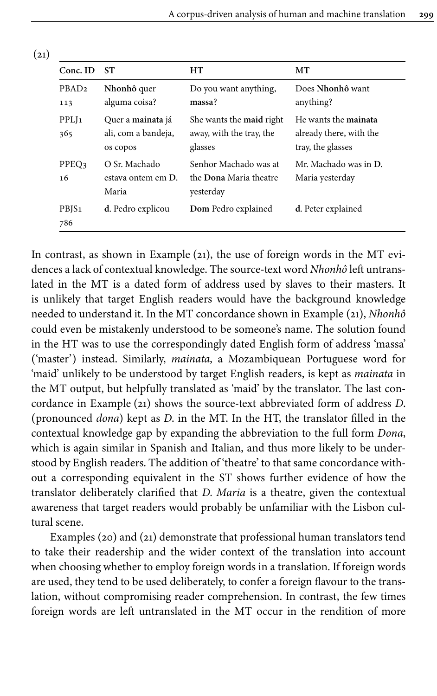<span id="page-21-0"></span>

| Conc. ID                 | ST                                                   | HТ                                                              | MТ                                                                   |
|--------------------------|------------------------------------------------------|-----------------------------------------------------------------|----------------------------------------------------------------------|
| PBAD <sub>2</sub><br>113 | Nhonhô quer<br>alguma coisa?                         | Do you want anything,<br>massa?                                 | Does Nhonhô want<br>anything?                                        |
| PPLJ <sub>1</sub><br>365 | Quer a mainata já<br>ali, com a bandeja,<br>os copos | She wants the maid right<br>away, with the tray, the<br>glasses | He wants the mainata<br>already there, with the<br>tray, the glasses |
| PPEO3<br>16              | O Sr. Machado<br>estava ontem em D.<br>Maria         | Senhor Machado was at<br>the Dona Maria theatre<br>yesterday    | Mr. Machado was in D.<br>Maria yesterday                             |
| PBJS <sub>1</sub><br>786 | d. Pedro explicou                                    | Dom Pedro explained                                             | d. Peter explained                                                   |

In contrast, as shown in Example ([21](#page-21-0)), the use of foreign words in the MT evidences a lack of contextual knowledge. The source-text word *Nhonhô* left untranslated in the MT is a dated form of address used by slaves to their masters. It is unlikely that target English readers would have the background knowledge needed to understand it. In the MT concordance shown in Example [\(21](#page-21-0)), *Nhonhô* could even be mistakenly understood to be someone's name. The solution found in the HT was to use the correspondingly dated English form of address 'massa' ('master') instead. Similarly, *mainata*, a Mozambiquean Portuguese word for 'maid' unlikely to be understood by target English readers, is kept as *mainata* in the MT output, but helpfully translated as 'maid' by the translator. The last concordance in Example [\(21](#page-21-0)) shows the source-text abbreviated form of address *D*. (pronounced *dona*) kept as *D*. in the MT. In the HT, the translator filled in the contextual knowledge gap by expanding the abbreviation to the full form *Dona*, which is again similar in Spanish and Italian, and thus more likely to be understood by English readers. The addition of 'theatre' to that same concordance without a corresponding equivalent in the ST shows further evidence of how the translator deliberately clarified that *D. Maria* is a theatre, given the contextual awareness that target readers would probably be unfamiliar with the Lisbon cultural scene.

Examples [\(20\)](#page-20-1) and [\(21\)](#page-21-0) demonstrate that professional human translators tend to take their readership and the wider context of the translation into account when choosing whether to employ foreign words in a translation. If foreign words are used, they tend to be used deliberately, to confer a foreign flavour to the translation, without compromising reader comprehension. In contrast, the few times foreign words are left untranslated in the MT occur in the rendition of more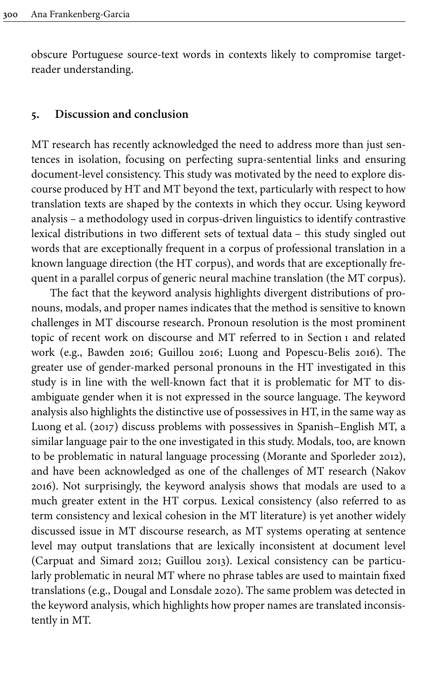obscure Portuguese source-text words in contexts likely to compromise targetreader understanding.

#### **5. Discussion and conclusion**

MT research has recently acknowledged the need to address more than just sentences in isolation, focusing on perfecting supra-sentential links and ensuring document-level consistency. This study was motivated by the need to explore discourse produced by HT and MT beyond the text, particularly with respect to how translation texts are shaped by the contexts in which they occur. Using keyword analysis – a methodology used in corpus-driven linguistics to identify contrastive lexical distributions in two different sets of textual data – this study singled out words that are exceptionally frequent in a corpus of professional translation in a known language direction (the HT corpus), and words that are exceptionally frequent in a parallel corpus of generic neural machine translation (the MT corpus).

The fact that the keyword analysis highlights divergent distributions of pronouns, modals, and proper names indicates that the method is sensitive to known challenges in MT discourse research. Pronoun resolution is the most prominent topic of recent work on discourse and MT referred to in [Section](#page-0-0) 1 and related work (e.g., [Bawden 2016](#page-26-4); [Guillou 2016](#page-27-8); Luong and [Popescu-Belis](#page-28-8) 2016). The greater use of gender-marked personal pronouns in the HT investigated in this study is in line with the well-known fact that it is problematic for MT to disambiguate gender when it is not expressed in the source language. The keyword analysis also highlights the distinctive use of possessives in HT, in the same way as Luong et [al. \(2017\)](#page-28-9) discuss problems with possessives in Spanish–English MT, a similar language pair to the one investigated in this study. Modals, too, are known to be problematic in natural language processing [\(Morante and Sporleder 2012](#page-28-10)), and have been acknowledged as one of the challenges of MT research [\(Nakov](#page-29-8) [2016](#page-29-8)). Not surprisingly, the keyword analysis shows that modals are used to a much greater extent in the HT corpus. Lexical consistency (also referred to as term consistency and lexical cohesion in the MT literature) is yet another widely discussed issue in MT discourse research, as MT systems operating at sentence level may output translations that are lexically inconsistent at document level [\(Carpuat and Simard 2012;](#page-26-0) [Guillou 2013\)](#page-27-0). Lexical consistency can be particularly problematic in neural MT where no phrase tables are used to maintain fixed translations (e.g., [Dougal and Lonsdale 2020](#page-27-9)). The same problem was detected in the keyword analysis, which highlights how proper names are translated inconsistently in MT.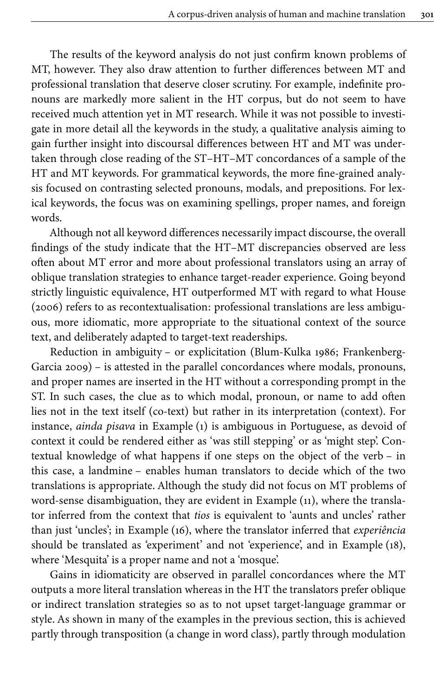The results of the keyword analysis do not just confirm known problems of MT, however. They also draw attention to further differences between MT and professional translation that deserve closer scrutiny. For example, indefinite pronouns are markedly more salient in the HT corpus, but do not seem to have received much attention yet in MT research. While it was not possible to investigate in more detail all the keywords in the study, a qualitative analysis aiming to gain further insight into discoursal differences between HT and MT was undertaken through close reading of the ST–HT–MT concordances of a sample of the HT and MT keywords. For grammatical keywords, the more fine-grained analysis focused on contrasting selected pronouns, modals, and prepositions. For lexical keywords, the focus was on examining spellings, proper names, and foreign words.

Although not all keyword differences necessarily impact discourse, the overall findings of the study indicate that the HT–MT discrepancies observed are less often about MT error and more about professional translators using an array of oblique translation strategies to enhance target-reader experience. Going beyond strictly linguistic equivalence, HT outperformed MT with regard to what [House](#page-27-2) [\(2006\)](#page-27-2) refers to as recontextualisation: professional translations are less ambiguous, more idiomatic, more appropriate to the situational context of the source text, and deliberately adapted to target-text readerships.

Reduction in ambiguity – or explicitation ([Blum-Kulka](#page-26-5) 1986; [Frankenberg-](#page-27-10)[Garcia](#page-27-10) 2009) – is attested in the parallel concordances where modals, pronouns, and proper names are inserted in the HT without a corresponding prompt in the ST. In such cases, the clue as to which modal, pronoun, or name to add often lies not in the text itself (co-text) but rather in its interpretation (context). For instance, *ainda pisava* in Example [\(1](#page-11-0)) is ambiguous in Portuguese, as devoid of context it could be rendered either as 'was still stepping' or as 'might step'. Contextual knowledge of what happens if one steps on the object of the verb – in this case, a landmine – enables human translators to decide which of the two translations is appropriate. Although the study did not focus on MT problems of word-sense disambiguation, they are evident in Example ([11\)](#page-15-0), where the translator inferred from the context that *tios* is equivalent to 'aunts and uncles' rather than just 'uncles'; in Example [\(16\)](#page-16-2), where the translator inferred that *experiência* should be translated as 'experiment' and not 'experience', and in Example ([18](#page-19-0)), where 'Mesquita' is a proper name and not a 'mosque'.

Gains in idiomaticity are observed in parallel concordances where the MT outputs a more literal translation whereas in the HT the translators prefer oblique or indirect translation strategies so as to not upset target-language grammar or style. As shown in many of the examples in the previous section, this is achieved partly through transposition (a change in word class), partly through modulation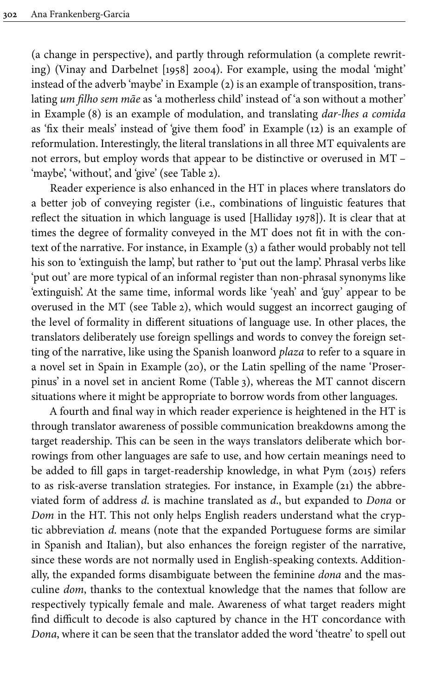(a change in perspective), and partly through reformulation (a complete rewriting) ([Vinay and Darbelnet \[1958\] 2004](#page-29-9)). For example, using the modal 'might' instead of the adverb 'maybe' in Example [\(2\)](#page-11-1) is an example of transposition, translating *um filho sem mãe* as 'a motherless child' instead of 'a son without a mother' in Example ([8](#page-13-1)) is an example of modulation, and translating *dar-lhes a comida* as 'fix their meals' instead of 'give them food' in Example ([12](#page-15-1)) is an example of reformulation. Interestingly, the literal translations in all three MT equivalents are not errors, but employ words that appear to be distinctive or overused in MT – 'maybe', 'without', and 'give' (see [Table](#page-9-0) 2).

Reader experience is also enhanced in the HT in places where translators do a better job of conveying register (i.e., combinations of linguistic features that reflect the situation in which language is used [[Halliday 1978](#page-27-11)]). It is clear that at times the degree of formality conveyed in the MT does not fit in with the context of the narrative. For instance, in Example [\(3](#page-12-0)) a father would probably not tell his son to 'extinguish the lamp', but rather to 'put out the lamp'. Phrasal verbs like 'put out' are more typical of an informal register than non-phrasal synonyms like 'extinguish'. At the same time, informal words like 'yeah' and 'guy' appear to be overused in the MT (see [Table](#page-9-0) 2), which would suggest an incorrect gauging of the level of formality in different situations of language use. In other places, the translators deliberately use foreign spellings and words to convey the foreign setting of the narrative, like using the Spanish loanword *plaza* to refer to a square in a novel set in Spain in Example [\(20](#page-20-1)), or the Latin spelling of the name 'Proserpinus' in a novel set in ancient Rome [\(Table](#page-18-0) 3), whereas the MT cannot discern situations where it might be appropriate to borrow words from other languages.

A fourth and final way in which reader experience is heightened in the HT is through translator awareness of possible communication breakdowns among the target readership. This can be seen in the ways translators deliberate which borrowings from other languages are safe to use, and how certain meanings need to be added to fill gaps in target-readership knowledge, in what [Pym \(2015\)](#page-29-10) refers to as risk-averse translation strategies. For instance, in Example ([21](#page-21-0)) the abbreviated form of address *d*. is machine translated as *d*., but expanded to *Dona* or *Dom* in the HT. This not only helps English readers understand what the cryptic abbreviation *d*. means (note that the expanded Portuguese forms are similar in Spanish and Italian), but also enhances the foreign register of the narrative, since these words are not normally used in English-speaking contexts. Additionally, the expanded forms disambiguate between the feminine *dona* and the masculine *dom*, thanks to the contextual knowledge that the names that follow are respectively typically female and male. Awareness of what target readers might find difficult to decode is also captured by chance in the HT concordance with *Dona*, where it can be seen that the translator added the word 'theatre' to spell out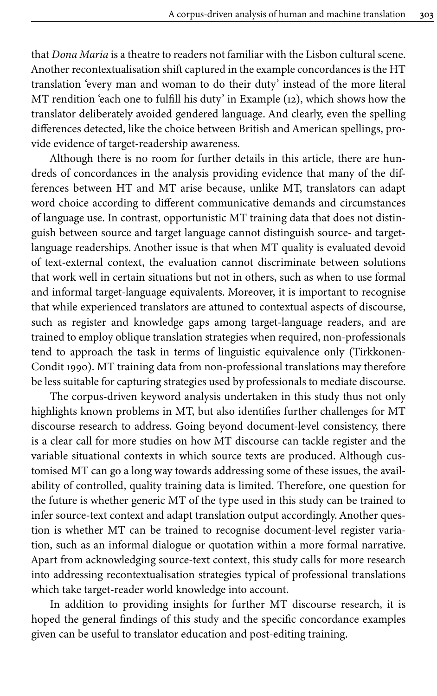that *Dona Maria* is a theatre to readers not familiar with the Lisbon cultural scene. Another recontextualisation shift captured in the example concordances is the HT translation 'every man and woman to do their duty' instead of the more literal MT rendition 'each one to fulfill his duty' in Example ([12](#page-15-1)), which shows how the translator deliberately avoided gendered language. And clearly, even the spelling differences detected, like the choice between British and American spellings, provide evidence of target-readership awareness.

Although there is no room for further details in this article, there are hundreds of concordances in the analysis providing evidence that many of the differences between HT and MT arise because, unlike MT, translators can adapt word choice according to different communicative demands and circumstances of language use. In contrast, opportunistic MT training data that does not distinguish between source and target language cannot distinguish source- and targetlanguage readerships. Another issue is that when MT quality is evaluated devoid of text-external context, the evaluation cannot discriminate between solutions that work well in certain situations but not in others, such as when to use formal and informal target-language equivalents. Moreover, it is important to recognise that while experienced translators are attuned to contextual aspects of discourse, such as register and knowledge gaps among target-language readers, and are trained to employ oblique translation strategies when required, non-professionals tend to approach the task in terms of linguistic equivalence only ([Tirkkonen-](#page-29-11)[Condit](#page-29-11) 1990). MT training data from non-professional translations may therefore be less suitable for capturing strategies used by professionals to mediate discourse.

The corpus-driven keyword analysis undertaken in this study thus not only highlights known problems in MT, but also identifies further challenges for MT discourse research to address. Going beyond document-level consistency, there is a clear call for more studies on how MT discourse can tackle register and the variable situational contexts in which source texts are produced. Although customised MT can go a long way towards addressing some of these issues, the availability of controlled, quality training data is limited. Therefore, one question for the future is whether generic MT of the type used in this study can be trained to infer source-text context and adapt translation output accordingly. Another question is whether MT can be trained to recognise document-level register variation, such as an informal dialogue or quotation within a more formal narrative. Apart from acknowledging source-text context, this study calls for more research into addressing recontextualisation strategies typical of professional translations which take target-reader world knowledge into account.

In addition to providing insights for further MT discourse research, it is hoped the general findings of this study and the specific concordance examples given can be useful to translator education and post-editing training.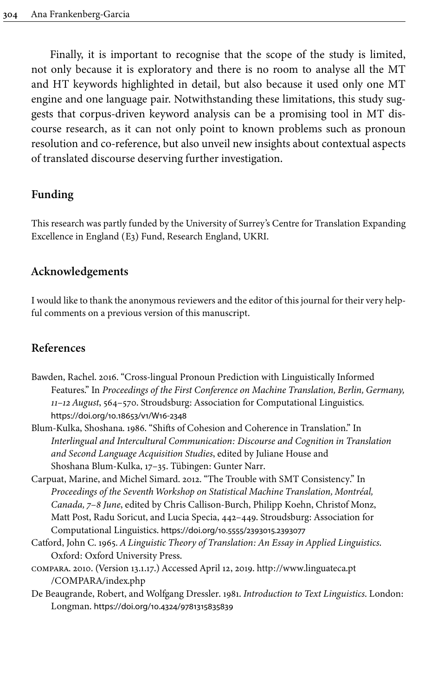Finally, it is important to recognise that the scope of the study is limited, not only because it is exploratory and there is no room to analyse all the MT and HT keywords highlighted in detail, but also because it used only one MT engine and one language pair. Notwithstanding these limitations, this study suggests that corpus-driven keyword analysis can be a promising tool in MT discourse research, as it can not only point to known problems such as pronoun resolution and co-reference, but also unveil new insights about contextual aspects of translated discourse deserving further investigation.

# **Funding**

This research was partly funded by the University of Surrey's Centre for Translation Expanding Excellence in England (E3) Fund, Research England, UKRI.

## **Acknowledgements**

I would like to thank the anonymous reviewers and the editor of this journal for their very helpful comments on a previous version of this manuscript.

# **References**

- <span id="page-26-4"></span>Bawden, Rachel. 2016. "Cross-lingual Pronoun Prediction with Linguistically Informed Features." In *Proceedings of the First Conference on Machine Translation, Berlin, Germany, 11–12 August*, 564–570. Stroudsburg: Association for Computational Linguistics. [https://doi.org/10.18653/v1/W16-2348](https://doi.org/10.18653%2Fv1%2FW16-2348)
- <span id="page-26-5"></span>Blum-Kulka, Shoshana. 1986. "Shifts of Cohesion and Coherence in Translation." In *Interlingual and Intercultural Communication: Discourse and Cognition in Translation and Second Language Acquisition Studies*, edited by Juliane House and Shoshana Blum-Kulka, 17–35. Tübingen: Gunter Narr.
- <span id="page-26-0"></span>Carpuat, Marine, and Michel Simard. 2012. "The Trouble with SMT Consistency." In *Proceedings of the Seventh Workshop on Statistical Machine Translation, Montréal, Canada, 7–8 June*, edited by Chris Callison-Burch, Philipp Koehn, Christof Monz, Matt Post, Radu Soricut, and Lucia Specia, 442–449. Stroudsburg: Association for Computational Linguistics. [https://doi.org/10.5555/2393015.2393077](https://doi.org/10.5555%2F2393015.2393077)
- <span id="page-26-2"></span>Catford, John C. 1965. *A Linguistic Theory of Translation: An Essay in Applied Linguistics*. Oxford: Oxford University Press.
- <span id="page-26-3"></span>compara. 2010. (Version 13.1.17.) Accessed April 12, 2019. [http://www.linguateca.pt](http://www.linguateca.pt/COMPARA/index.php) [/COMPARA/index.php](http://www.linguateca.pt/COMPARA/index.php)
- <span id="page-26-1"></span>De Beaugrande, Robert, and Wolfgang Dressler. 1981. *Introduction to Text Linguistics*. London: Longman. [https://doi.org/10.4324/9781315835839](https://doi.org/10.4324%2F9781315835839)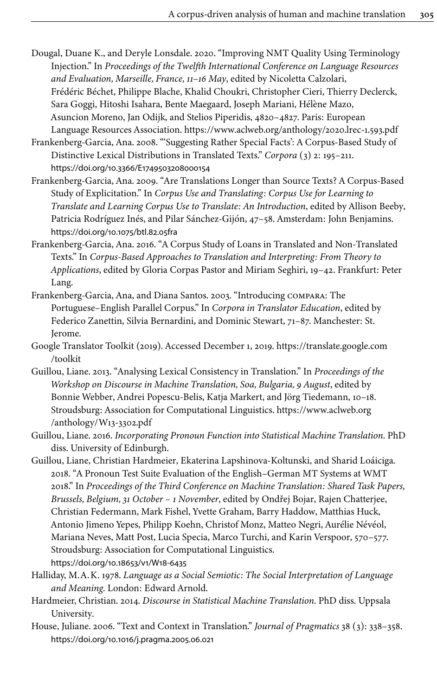- <span id="page-27-9"></span>Dougal, Duane K., and Deryle Lonsdale. 2020. "Improving NMT Quality Using Terminology Injection." In *Proceedings of the Twelfth International Conference on Language Resources and Evaluation, Marseille, France, 11–16 May*, edited by Nicoletta Calzolari, Frédéric Béchet, Philippe Blache, Khalid Choukri, Christopher Cieri, Thierry Declerck, Sara Goggi, Hitoshi Isahara, Bente Maegaard, Joseph Mariani, Hélène Mazo, Asuncion Moreno, Jan Odijk, and Stelios Piperidis, 4820–4827. Paris: European Language Resources Association. <https://www.aclweb.org/anthology/2020.lrec-1.593.pdf>
- <span id="page-27-7"></span>Frankenberg-Garcia, Ana. 2008. "'Suggesting Rather Special Facts': A Corpus-Based Study of Distinctive Lexical Distributions in Translated Texts." *Corpora* (3) 2: 195–211. [https://doi.org/10.3366/E1749503208000154](https://doi.org/10.3366%2FE1749503208000154)
- <span id="page-27-10"></span>Frankenberg-Garcia, Ana. 2009. "Are Translations Longer than Source Texts? A Corpus-Based Study of Explicitation." In *Corpus Use and Translating: Corpus Use for Learning to Translate and Learning Corpus Use to Translate: An Introduction*, edited by Allison Beeby, Patricia Rodríguez Inés, and Pilar Sánchez-Gijón, 47–58. Amsterdam: John Benjamins. [https://doi.org/10.1075/btl.82.05fra](https://doi.org/10.1075%2Fbtl.82.05fra)
- <span id="page-27-3"></span>Frankenberg-Garcia, Ana. 2016. "A Corpus Study of Loans in Translated and Non-Translated Texts." In *Corpus-Based Approaches to Translation and Interpreting: From Theory to Applications*, edited by Gloria Corpas Pastor and Miriam Seghiri, 19–42. Frankfurt: Peter Lang.
- <span id="page-27-4"></span>Frankenberg-Garcia, Ana, and Diana Santos. 2003. "Introducing compara: The Portuguese–English Parallel Corpus." In *Corpora in Translator Education*, edited by Federico Zanettin, Silvia Bernardini, and Dominic Stewart, 71–87. Manchester: St. Jerome.
- <span id="page-27-5"></span>Google Translator Toolkit (2019). Accessed December 1, 2019. [https://translate.google.com](https://translate.google.com/toolkit) [/toolkit](https://translate.google.com/toolkit)
- <span id="page-27-0"></span>Guillou, Liane. 2013. "Analysing Lexical Consistency in Translation." In *Proceedings of the Workshop on Discourse in Machine Translation, Soa, Bulgaria, 9 August*, edited by Bonnie Webber, Andrei Popescu-Belis, Katja Markert, and Jörg Tiedemann, 10–18. Stroudsburg: Association for Computational Linguistics. [https://www.aclweb.org](https://www.aclweb.org/anthology/W13-3302.pdf) [/anthology/W13-3302.pdf](https://www.aclweb.org/anthology/W13-3302.pdf)
- <span id="page-27-8"></span>Guillou, Liane. 2016. *Incorporating Pronoun Function into Statistical Machine Translation*. PhD diss. University of Edinburgh.
- <span id="page-27-6"></span>Guillou, Liane, Christian Hardmeier, Ekaterina Lapshinova-Koltunski, and Sharid Loáiciga. 2018. "A Pronoun Test Suite Evaluation of the English–German MT Systems at WMT 2018." In *Proceedings of the Third Conference on Machine Translation: Shared Task Papers, Brussels, Belgium, 31 October – 1 November*, edited by Ondřej Bojar, Rajen Chatterjee, Christian Federmann, Mark Fishel, Yvette Graham, Barry Haddow, Matthias Huck, Antonio Jimeno Yepes, Philipp Koehn, Christof Monz, Matteo Negri, Aurélie Névéol, Mariana Neves, Matt Post, Lucia Specia, Marco Turchi, and Karin Verspoor, 570–577. Stroudsburg: Association for Computational Linguistics. [https://doi.org/10.18653/v1/W18-6435](https://doi.org/10.18653%2Fv1%2FW18-6435)
- <span id="page-27-11"></span>Halliday, M.A.K. 1978. *Language as a Social Semiotic: The Social Interpretation of Language and Meaning*. London: Edward Arnold.
- <span id="page-27-1"></span>Hardmeier, Christian. 2014. *Discourse in Statistical Machine Translation*. PhD diss. Uppsala University.
- <span id="page-27-2"></span>House, Juliane. 2006. "Text and Context in Translation." *Journal of Pragmatics* 38 (3): 338–358. [https://doi.org/10.1016/j.pragma.2005.06.021](https://doi.org/10.1016%2Fj.pragma.2005.06.021)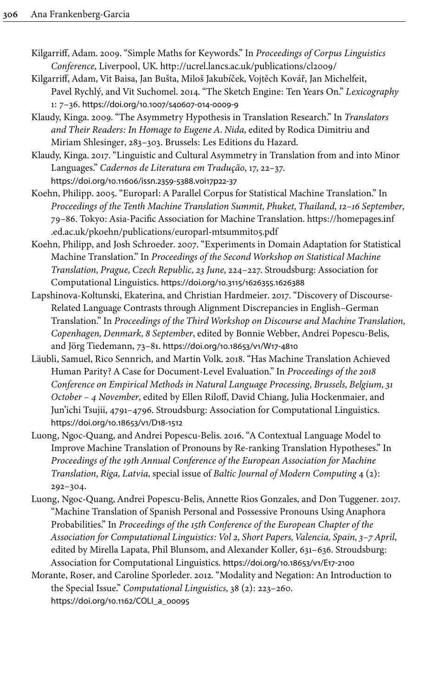- <span id="page-28-7"></span>Kilgarriff, Adam. 2009. "Simple Maths for Keywords." In *Proceedings of Corpus Linguistics Conference*, Liverpool, UK. <http://ucrel.lancs.ac.uk/publications/cl2009/>
- <span id="page-28-5"></span>Kilgarriff, Adam, Vit Baisa, Jan Bušta, Miloš Jakubíček, Vojtěch Kovář, Jan Michelfeit, Pavel Rychlý, and Vit Suchomel. 2014. "The Sketch Engine: Ten Years On." *Lexicography* 1: 7–36. [https://doi.org/10.1007/s40607-014-0009-9](https://doi.org/10.1007%2Fs40607-014-0009-9)
- <span id="page-28-3"></span>Klaudy, Kinga. 2009. "The Asymmetry Hypothesis in Translation Research." In *Translators and Their Readers: In Homage to Eugene A. Nida*, edited by Rodica Dimitriu and Miriam Shlesinger, 283–303. Brussels: Les Editions du Hazard.
- <span id="page-28-4"></span>Klaudy, Kinga. 2017. "Linguistic and Cultural Asymmetry in Translation from and into Minor Languages." *Cadernos de Literatura em Tradução*, 17, 22–37. [https://doi.org/10.11606/issn.2359-5388.v0i17p22-37](https://doi.org/10.11606%2Fissn.2359-5388.v0i17p22-37)
- <span id="page-28-2"></span>Koehn, Philipp. 2005. "Europarl: A Parallel Corpus for Statistical Machine Translation." In *Proceedings of the Tenth Machine Translation Summit, Phuket, Thailand, 12–16 September*, 79–86. Tokyo: Asia-Pacific Association for Machine Translation. [https://homepages.inf](https://homepages.inf.ed.ac.uk/pkoehn/publications/europarl-mtsummit05.pdf) [.ed.ac.uk/pkoehn/publications/europarl-mtsummit05.pdf](https://homepages.inf.ed.ac.uk/pkoehn/publications/europarl-mtsummit05.pdf)
- <span id="page-28-1"></span>Koehn, Philipp, and Josh Schroeder. 2007. "Experiments in Domain Adaptation for Statistical Machine Translation." In *Proceedings of the Second Workshop on Statistical Machine Translation, Prague, Czech Republic, 23 June*, 224–227. Stroudsburg: Association for Computational Linguistics. [https://doi.org/10.3115/1626355.1626388](https://doi.org/10.3115%2F1626355.1626388)
- <span id="page-28-6"></span>Lapshinova-Koltunski, Ekaterina, and Christian Hardmeier. 2017. "Discovery of Discourse-Related Language Contrasts through Alignment Discrepancies in English–German Translation." In *Proceedings of the Third Workshop on Discourse and Machine Translation, Copenhagen, Denmark, 8 September*, edited by Bonnie Webber, Andrei Popescu-Belis, and Jörg Tiedemann, 73–81. [https://doi.org/10.18653/v1/W17-4810](https://doi.org/10.18653%2Fv1%2FW17-4810)
- <span id="page-28-0"></span>Läubli, Samuel, Rico Sennrich, and Martin Volk. 2018. "Has Machine Translation Achieved Human Parity? A Case for Document-Level Evaluation." In *Proceedings of the 2018 Conference on Empirical Methods in Natural Language Processing, Brussels, Belgium, 31 October – 4 November*, edited by Ellen Riloff, David Chiang, Julia Hockenmaier, and Jun'ichi Tsujii, 4791–4796. Stroudsburg: Association for Computational Linguistics. [https://doi.org/10.18653/v1/D18-1512](https://doi.org/10.18653%2Fv1%2FD18-1512)
- <span id="page-28-8"></span>Luong, Ngoc-Quang, and Andrei Popescu-Belis. 2016. "A Contextual Language Model to Improve Machine Translation of Pronouns by Re-ranking Translation Hypotheses." In *Proceedings of the 19th Annual Conference of the European Association for Machine Translation, Riga, Latvia*, special issue of *Baltic Journal of Modern Computing* 4 (2): 292–304.
- <span id="page-28-9"></span>Luong, Ngoc-Quang, Andrei Popescu-Belis, Annette Rios Gonzales, and Don Tuggener. 2017. "Machine Translation of Spanish Personal and Possessive Pronouns Using Anaphora Probabilities." In *Proceedings of the 15th Conference of the European Chapter of the Association for Computational Linguistics: Vol 2, Short Papers, Valencia, Spain, 3–7 April*, edited by Mirella Lapata, Phil Blunsom, and Alexander Koller, 631–636. Stroudsburg: Association for Computational Linguistics. [https://doi.org/10.18653/v1/E17-2100](https://doi.org/10.18653%2Fv1%2FE17-2100)
- <span id="page-28-10"></span>Morante, Roser, and Caroline Sporleder. 2012. "Modality and Negation: An Introduction to the Special Issue." *Computational Linguistics*, 38 (2): 223–260. [https://doi.org/10.1162/COLI\\_a\\_00095](https://doi.org/10.1162%2FCOLI_a_00095)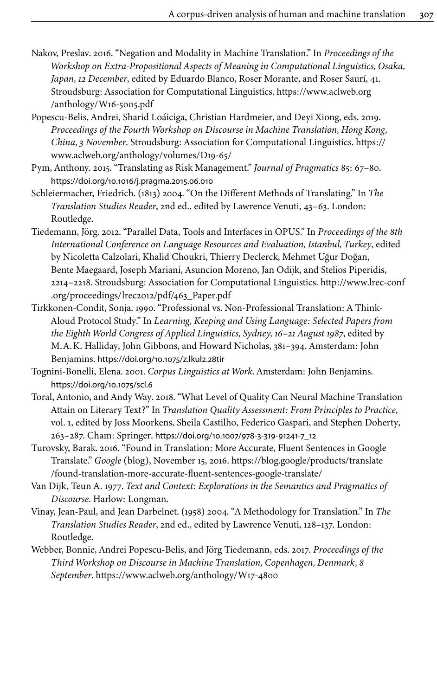- <span id="page-29-8"></span>Nakov, Preslav. 2016. "Negation and Modality in Machine Translation." In *Proceedings of the Workshop on Extra-Propositional Aspects of Meaning in Computational Linguistics, Osaka, Japan, 12 December*, edited by Eduardo Blanco, Roser Morante, and Roser Saurí, 41. Stroudsburg: Association for Computational Linguistics. [https://www.aclweb.org](https://www.aclweb.org/anthology/W16-5005.pdf) [/anthology/W16-5005.pdf](https://www.aclweb.org/anthology/W16-5005.pdf)
- <span id="page-29-1"></span>Popescu-Belis, Andrei, Sharid Loáiciga, Christian Hardmeier, and Deyi Xiong, eds. 2019. *Proceedings of the Fourth Workshop on Discourse in Machine Translation, Hong Kong, China, 3 November*. Stroudsburg: Association for Computational Linguistics. [https://](https://www.aclweb.org/anthology/volumes/D19-65/) [www.aclweb.org/anthology/volumes/D19-65/](https://www.aclweb.org/anthology/volumes/D19-65/)
- <span id="page-29-10"></span>Pym, Anthony. 2015. "Translating as Risk Management." *Journal of Pragmatics* 85: 67–80. [https://doi.org/10.1016/j.pragma.2015.06.010](https://doi.org/10.1016%2Fj.pragma.2015.06.010)
- <span id="page-29-4"></span>Schleiermacher, Friedrich. (1813) 2004. "On the Different Methods of Translating." In *The Translation Studies Reader*, 2nd ed., edited by Lawrence Venuti, 43–63. London: Routledge.
- <span id="page-29-3"></span>Tiedemann, Jörg. 2012. "Parallel Data, Tools and Interfaces in OPUS." In *Proceedings of the 8th International Conference on Language Resources and Evaluation, Istanbul, Turkey*, edited by Nicoletta Calzolari, Khalid Choukri, Thierry Declerck, Mehmet Uğur Doğan, Bente Maegaard, Joseph Mariani, Asuncion Moreno, Jan Odijk, and Stelios Piperidis, 2214–2218. Stroudsburg: Association for Computational Linguistics. [http://www.lrec-conf](http://www.lrec-conf.org/proceedings/lrec2012/pdf/463_Paper.pdf) [.org/proceedings/lrec2012/pdf/463\\_Paper.pdf](http://www.lrec-conf.org/proceedings/lrec2012/pdf/463_Paper.pdf)
- <span id="page-29-11"></span>Tirkkonen-Condit, Sonja. 1990. "Professional vs. Non-Professional Translation: A Think-Aloud Protocol Study." In *Learning, Keeping and Using Language: Selected Papers from the Eighth World Congress of Applied Linguistics, Sydney, 16–21 August 1987*, edited by M.A.K. Halliday, John Gibbons, and Howard Nicholas, 381–394. Amsterdam: John Benjamins. [https://doi.org/10.1075/z.lkul2.28tir](https://doi.org/10.1075%2Fz.lkul2.28tir)
- <span id="page-29-7"></span>Tognini-Bonelli, Elena. 2001. *Corpus Linguistics at Work*. Amsterdam: John Benjamins. [https://doi.org/10.1075/scl.6](https://doi.org/10.1075%2Fscl.6)
- <span id="page-29-5"></span>Toral, Antonio, and Andy Way. 2018. "What Level of Quality Can Neural Machine Translation Attain on Literary Text?" In *Translation Quality Assessment: From Principles to Practice*, vol. 1, edited by Joss Moorkens, Sheila Castilho, Federico Gaspari, and Stephen Doherty, 263–287. Cham: Springer. [https://doi.org/10.1007/978-3-319-91241-7\\_12](https://doi.org/10.1007%2F978-3-319-91241-7_12)
- <span id="page-29-6"></span>Turovsky, Barak. 2016. "Found in Translation: More Accurate, Fluent Sentences in Google Translate." *Google* (blog), November 15, 2016. [https://blog.google/products/translate](https://blog.google/products/translate/found-translation-more-accurate-fluent-sentences-google-translate/) [/found-translation-more-accurate-fluent-sentences-google-translate/](https://blog.google/products/translate/found-translation-more-accurate-fluent-sentences-google-translate/)
- <span id="page-29-2"></span>Van Dijk, Teun A. 1977. *Text and Context: Explorations in the Semantics and Pragmatics of Discourse*. Harlow: Longman.
- <span id="page-29-9"></span>Vinay, Jean-Paul, and Jean Darbelnet. (1958) 2004. "A Methodology for Translation." In *The Translation Studies Reader*, 2nd ed., edited by Lawrence Venuti, 128–137. London: Routledge.
- <span id="page-29-0"></span>Webber, Bonnie, Andrei Popescu-Belis, and Jörg Tiedemann, eds. 2017. *Proceedings of the Third Workshop on Discourse in Machine Translation, Copenhagen, Denmark, 8 September*. <https://www.aclweb.org/anthology/W17-4800>